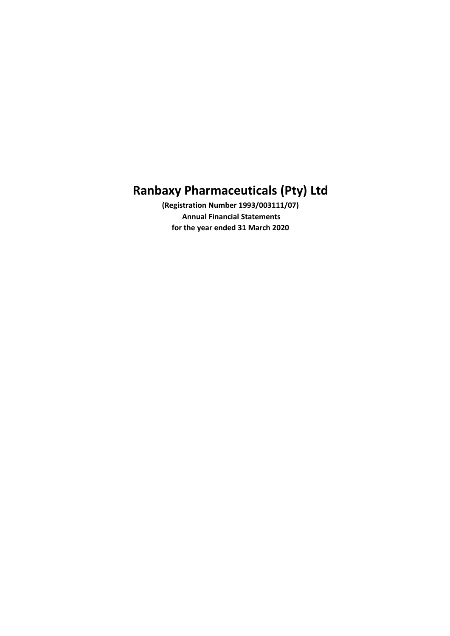**(Registration Number 1993/003111/07) Annual Financial Statements for the year ended 31 March 2020**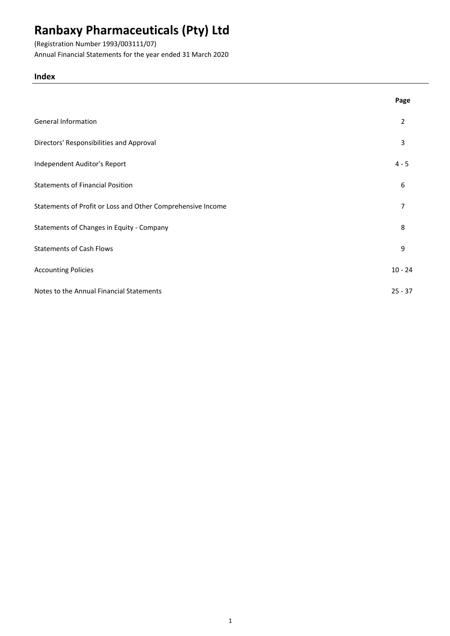(Registration Number 1993/003111/07)

Annual Financial Statements for the year ended 31 March 2020

### **Index**

|                                                             | Page           |
|-------------------------------------------------------------|----------------|
| General Information                                         | $\overline{2}$ |
| Directors' Responsibilities and Approval                    | 3              |
| Independent Auditor's Report                                | $4 - 5$        |
| <b>Statements of Financial Position</b>                     | 6              |
| Statements of Profit or Loss and Other Comprehensive Income | 7              |
| Statements of Changes in Equity - Company                   | 8              |
| <b>Statements of Cash Flows</b>                             | 9              |
| <b>Accounting Policies</b>                                  | $10 - 24$      |
| Notes to the Annual Financial Statements                    | $25 - 37$      |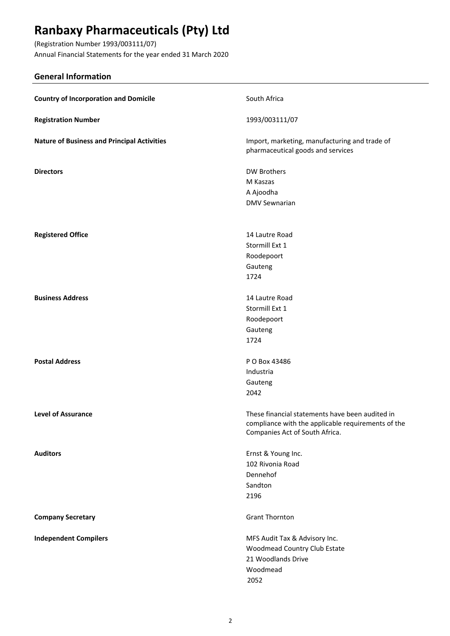(Registration Number 1993/003111/07) Annual Financial Statements for the year ended 31 March 2020

### **General Information**

| <b>Country of Incorporation and Domicile</b>       | South Africa                                                                                                                            |
|----------------------------------------------------|-----------------------------------------------------------------------------------------------------------------------------------------|
| <b>Registration Number</b>                         | 1993/003111/07                                                                                                                          |
| <b>Nature of Business and Principal Activities</b> | Import, marketing, manufacturing and trade of<br>pharmaceutical goods and services                                                      |
| <b>Directors</b>                                   | <b>DW Brothers</b><br>M Kaszas<br>A Ajoodha<br><b>DMV Sewnarian</b>                                                                     |
| <b>Registered Office</b>                           | 14 Lautre Road<br>Stormill Ext 1<br>Roodepoort<br>Gauteng<br>1724                                                                       |
| <b>Business Address</b>                            | 14 Lautre Road<br>Stormill Ext 1<br>Roodepoort<br>Gauteng<br>1724                                                                       |
| <b>Postal Address</b>                              | P O Box 43486<br>Industria<br>Gauteng<br>2042                                                                                           |
| <b>Level of Assurance</b>                          | These financial statements have been audited in<br>compliance with the applicable requirements of the<br>Companies Act of South Africa. |
| <b>Auditors</b>                                    | Ernst & Young Inc.<br>102 Rivonia Road<br>Dennehof<br>Sandton<br>2196                                                                   |
| <b>Company Secretary</b>                           | <b>Grant Thornton</b>                                                                                                                   |
| <b>Independent Compilers</b>                       | MFS Audit Tax & Advisory Inc.<br>Woodmead Country Club Estate<br>21 Woodlands Drive<br>Woodmead<br>2052                                 |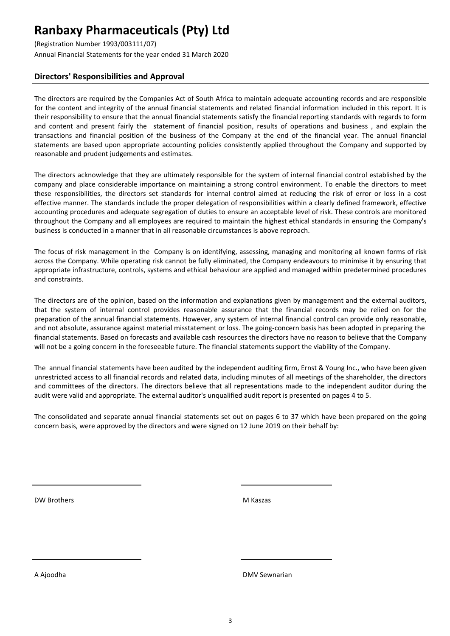(Registration Number 1993/003111/07)

Annual Financial Statements for the year ended 31 March 2020

## **Directors' Responsibilities and Approval**

The directors are required by the Companies Act of South Africa to maintain adequate accounting records and are responsible for the content and integrity of the annual financial statements and related financial information included in this report. It is their responsibility to ensure that the annual financial statements satisfy the financial reporting standards with regards to form and content and present fairly the statement of financial position, results of operations and business , and explain the transactions and financial position of the business of the Company at the end of the financial year. The annual financial statements are based upon appropriate accounting policies consistently applied throughout the Company and supported by reasonable and prudent judgements and estimates.

The directors acknowledge that they are ultimately responsible for the system of internal financial control established by the company and place considerable importance on maintaining a strong control environment. To enable the directors to meet these responsibilities, the directors set standards for internal control aimed at reducing the risk of error or loss in a cost effective manner. The standards include the proper delegation of responsibilities within a clearly defined framework, effective accounting procedures and adequate segregation of duties to ensure an acceptable level of risk. These controls are monitored throughout the Company and all employees are required to maintain the highest ethical standards in ensuring the Company's business is conducted in a manner that in all reasonable circumstances is above reproach.

The focus of risk management in the Company is on identifying, assessing, managing and monitoring all known forms of risk across the Company. While operating risk cannot be fully eliminated, the Company endeavours to minimise it by ensuring that appropriate infrastructure, controls, systems and ethical behaviour are applied and managed within predetermined procedures and constraints.

The directors are of the opinion, based on the information and explanations given by management and the external auditors, that the system of internal control provides reasonable assurance that the financial records may be relied on for the preparation of the annual financial statements. However, any system of internal financial control can provide only reasonable, and not absolute, assurance against material misstatement or loss. The going-concern basis has been adopted in preparing the financial statements. Based on forecasts and available cash resources the directors have no reason to believe that the Company will not be a going concern in the foreseeable future. The financial statements support the viability of the Company.

The annual financial statements have been audited by the independent auditing firm, Ernst & Young Inc., who have been given unrestricted access to all financial records and related data, including minutes of all meetings of the shareholder, the directors and committees of the directors. The directors believe that all representations made to the independent auditor during the audit were valid and appropriate. The external auditor's unqualified audit report is presented on pages 4 to 5.

The consolidated and separate annual financial statements set out on pages 6 to 37 which have been prepared on the going concern basis, were approved by the directors and were signed on 12 June 2019 on their behalf by:

DW Brothers Maszas Museum and the Museum of the Museum of Museum and Museum and Museum and Museum and Museum and Museum and Museum and Museum and Museum and Museum and Museum and Museum and Museum and Museum and Museum and

A Ajoodha DMV Sewnarian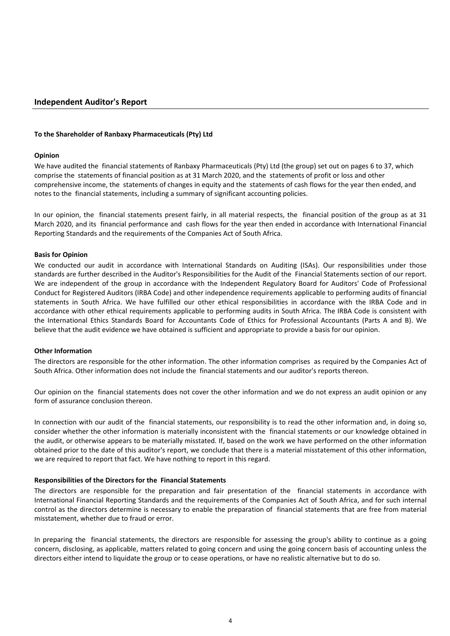#### **Independent Auditor's Report**

#### **To the Shareholder of Ranbaxy Pharmaceuticals (Pty) Ltd**

#### **Opinion**

We have audited the financial statements of Ranbaxy Pharmaceuticals (Pty) Ltd (the group) set out on pages 6 to 37, which comprise the statements of financial position as at 31 March 2020, and the statements of profit or loss and other comprehensive income, the statements of changes in equity and the statements of cash flows for the year then ended, and notes to the financial statements, including a summary of significant accounting policies.

In our opinion, the financial statements present fairly, in all material respects, the financial position of the group as at 31 March 2020, and its financial performance and cash flows for the year then ended in accordance with International Financial Reporting Standards and the requirements of the Companies Act of South Africa.

#### **Basis for Opinion**

We conducted our audit in accordance with International Standards on Auditing (ISAs). Our responsibilities under those standards are further described in the Auditor's Responsibilities for the Audit of the Financial Statements section of our report. We are independent of the group in accordance with the Independent Regulatory Board for Auditors' Code of Professional Conduct for Registered Auditors (IRBA Code) and other independence requirements applicable to performing audits of financial statements in South Africa. We have fulfilled our other ethical responsibilities in accordance with the IRBA Code and in accordance with other ethical requirements applicable to performing audits in South Africa. The IRBA Code is consistent with the International Ethics Standards Board for Accountants Code of Ethics for Professional Accountants (Parts A and B). We believe that the audit evidence we have obtained is sufficient and appropriate to provide a basis for our opinion.

#### **Other Information**

The directors are responsible for the other information. The other information comprises as required by the Companies Act of South Africa. Other information does not include the financial statements and our auditor's reports thereon.

Our opinion on the financial statements does not cover the other information and we do not express an audit opinion or any form of assurance conclusion thereon.

In connection with our audit of the financial statements, our responsibility is to read the other information and, in doing so, consider whether the other information is materially inconsistent with the financial statements or our knowledge obtained in the audit, or otherwise appears to be materially misstated. If, based on the work we have performed on the other information obtained prior to the date of this auditor's report, we conclude that there is a material misstatement of this other information, we are required to report that fact. We have nothing to report in this regard.

#### **Responsibilities of the Directors for the Financial Statements**

The directors are responsible for the preparation and fair presentation of the financial statements in accordance with International Financial Reporting Standards and the requirements of the Companies Act of South Africa, and for such internal control as the directors determine is necessary to enable the preparation of financial statements that are free from material misstatement, whether due to fraud or error.

In preparing the financial statements, the directors are responsible for assessing the group's ability to continue as a going concern, disclosing, as applicable, matters related to going concern and using the going concern basis of accounting unless the directors either intend to liquidate the group or to cease operations, or have no realistic alternative but to do so.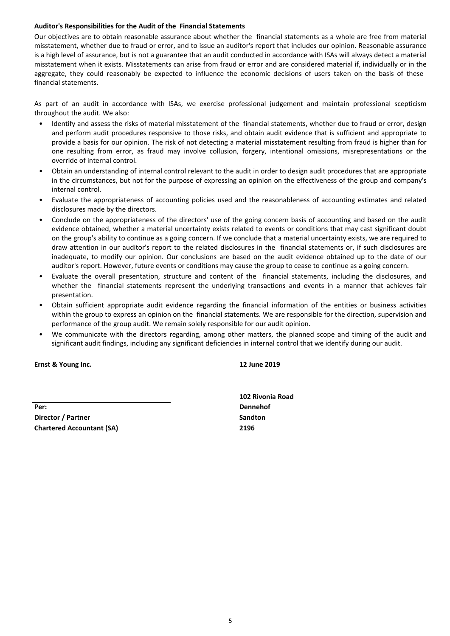#### **Auditor's Responsibilities for the Audit of the Financial Statements**

Our objectives are to obtain reasonable assurance about whether the financial statements as a whole are free from material misstatement, whether due to fraud or error, and to issue an auditor's report that includes our opinion. Reasonable assurance is a high level of assurance, but is not a guarantee that an audit conducted in accordance with ISAs will always detect a material misstatement when it exists. Misstatements can arise from fraud or error and are considered material if, individually or in the aggregate, they could reasonably be expected to influence the economic decisions of users taken on the basis of these financial statements.

As part of an audit in accordance with ISAs, we exercise professional judgement and maintain professional scepticism throughout the audit. We also:

- Identify and assess the risks of material misstatement of the financial statements, whether due to fraud or error, design and perform audit procedures responsive to those risks, and obtain audit evidence that is sufficient and appropriate to provide a basis for our opinion. The risk of not detecting a material misstatement resulting from fraud is higher than for one resulting from error, as fraud may involve collusion, forgery, intentional omissions, misrepresentations or the override of internal control.
- Obtain an understanding of internal control relevant to the audit in order to design audit procedures that are appropriate in the circumstances, but not for the purpose of expressing an opinion on the effectiveness of the group and company's internal control.
- Evaluate the appropriateness of accounting policies used and the reasonableness of accounting estimates and related disclosures made by the directors.
- Conclude on the appropriateness of the directors' use of the going concern basis of accounting and based on the audit evidence obtained, whether a material uncertainty exists related to events or conditions that may cast significant doubt on the group's ability to continue as a going concern. If we conclude that a material uncertainty exists, we are required to draw attention in our auditor's report to the related disclosures in the financial statements or, if such disclosures are inadequate, to modify our opinion. Our conclusions are based on the audit evidence obtained up to the date of our auditor's report. However, future events or conditions may cause the group to cease to continue as a going concern.
- Evaluate the overall presentation, structure and content of the financial statements, including the disclosures, and whether the financial statements represent the underlying transactions and events in a manner that achieves fair presentation.
- Obtain sufficient appropriate audit evidence regarding the financial information of the entities or business activities within the group to express an opinion on the financial statements. We are responsible for the direction, supervision and performance of the group audit. We remain solely responsible for our audit opinion.
- We communicate with the directors regarding, among other matters, the planned scope and timing of the audit and significant audit findings, including any significant deficiencies in internal control that we identify during our audit.

**Ernst & Young Inc. 12 June 2019**

**Per: Dennehof Director / Partner Sandton Chartered Accountant (SA) 2196**

**102 Rivonia Road**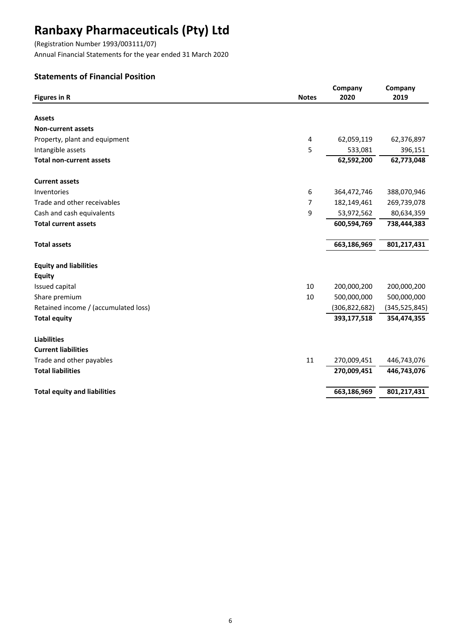(Registration Number 1993/003111/07) Annual Financial Statements for the year ended 31 March 2020

## **Statements of Financial Position**

| <b>Figures in R</b>                  | <b>Notes</b> | Company<br>2020 | Company<br>2019 |
|--------------------------------------|--------------|-----------------|-----------------|
|                                      |              |                 |                 |
| <b>Assets</b>                        |              |                 |                 |
| <b>Non-current assets</b>            |              |                 |                 |
| Property, plant and equipment        | 4            | 62,059,119      | 62,376,897      |
| Intangible assets                    | 5            | 533,081         | 396,151         |
| <b>Total non-current assets</b>      |              | 62,592,200      | 62,773,048      |
| <b>Current assets</b>                |              |                 |                 |
| Inventories                          | 6            | 364,472,746     | 388,070,946     |
| Trade and other receivables          | 7            | 182,149,461     | 269,739,078     |
| Cash and cash equivalents            | 9            | 53,972,562      | 80,634,359      |
| <b>Total current assets</b>          |              | 600,594,769     | 738,444,383     |
| <b>Total assets</b>                  |              | 663,186,969     | 801,217,431     |
| <b>Equity and liabilities</b>        |              |                 |                 |
| <b>Equity</b>                        |              |                 |                 |
| Issued capital                       | 10           | 200,000,200     | 200,000,200     |
| Share premium                        | 10           | 500,000,000     | 500,000,000     |
| Retained income / (accumulated loss) |              | (306, 822, 682) | (345, 525, 845) |
| <b>Total equity</b>                  |              | 393,177,518     | 354,474,355     |
| <b>Liabilities</b>                   |              |                 |                 |
| <b>Current liabilities</b>           |              |                 |                 |
| Trade and other payables             | 11           | 270,009,451     | 446,743,076     |
| <b>Total liabilities</b>             |              | 270,009,451     | 446,743,076     |
| <b>Total equity and liabilities</b>  |              | 663,186,969     | 801,217,431     |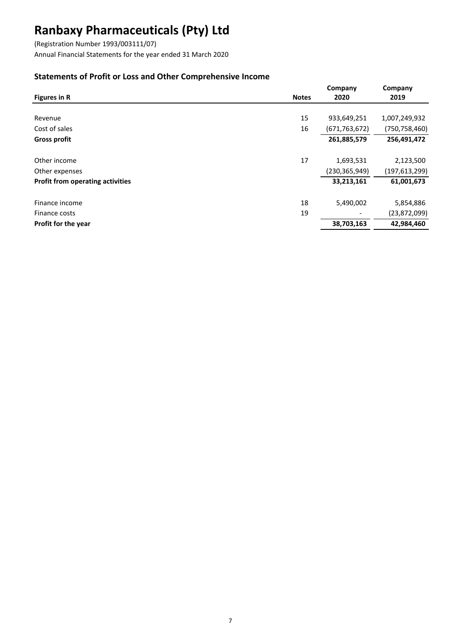(Registration Number 1993/003111/07)

Annual Financial Statements for the year ended 31 March 2020

## **Statements of Profit or Loss and Other Comprehensive Income**

|                                         |              | Company         | Company         |
|-----------------------------------------|--------------|-----------------|-----------------|
| <b>Figures in R</b>                     | <b>Notes</b> | 2020            | 2019            |
|                                         |              |                 |                 |
| Revenue                                 | 15           | 933,649,251     | 1,007,249,932   |
| Cost of sales                           | 16           | (671, 763, 672) | (750, 758, 460) |
| <b>Gross profit</b>                     |              | 261,885,579     | 256,491,472     |
| Other income                            | 17           | 1,693,531       | 2,123,500       |
| Other expenses                          |              | (230, 365, 949) | (197, 613, 299) |
| <b>Profit from operating activities</b> |              | 33,213,161      | 61,001,673      |
| Finance income                          | 18           | 5,490,002       | 5,854,886       |
| Finance costs                           | 19           |                 | (23, 872, 099)  |
| Profit for the year                     |              | 38,703,163      | 42,984,460      |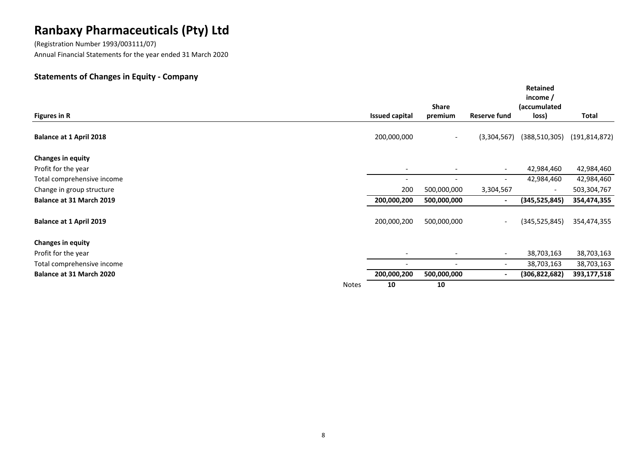(Registration Number 1993/003111/07) Annual Financial Statements for the year ended 31 March 2020

## **Statements of Changes in Equity - Company**

|                                |              |                          | <b>Share</b>             |                          | Retained<br>income /<br>(accumulated |                 |
|--------------------------------|--------------|--------------------------|--------------------------|--------------------------|--------------------------------------|-----------------|
| <b>Figures in R</b>            |              | <b>Issued capital</b>    | premium                  | Reserve fund             | loss)                                | <b>Total</b>    |
| <b>Balance at 1 April 2018</b> |              | 200,000,000              | $\overline{\phantom{a}}$ | (3,304,567)              | (388, 510, 305)                      | (191, 814, 872) |
| Changes in equity              |              |                          |                          |                          |                                      |                 |
| Profit for the year            |              | $\overline{\phantom{a}}$ | $\overline{\phantom{a}}$ | $\sim$                   | 42,984,460                           | 42,984,460      |
| Total comprehensive income     |              | $\overline{\phantom{a}}$ | $\overline{\phantom{0}}$ |                          | 42,984,460                           | 42,984,460      |
| Change in group structure      |              | 200                      | 500,000,000              | 3,304,567                | $\overline{\phantom{a}}$             | 503,304,767     |
| Balance at 31 March 2019       |              | 200,000,200              | 500,000,000              | $\overline{\phantom{a}}$ | (345, 525, 845)                      | 354,474,355     |
| <b>Balance at 1 April 2019</b> |              | 200,000,200              | 500,000,000              | $\overline{\phantom{a}}$ | (345, 525, 845)                      | 354,474,355     |
| <b>Changes in equity</b>       |              |                          |                          |                          |                                      |                 |
| Profit for the year            |              | $\overline{\phantom{a}}$ | $\overline{\phantom{a}}$ | $\overline{\phantom{a}}$ | 38,703,163                           | 38,703,163      |
| Total comprehensive income     |              | $\overline{\phantom{a}}$ | -                        | $\overline{\phantom{a}}$ | 38,703,163                           | 38,703,163      |
| Balance at 31 March 2020       |              | 200,000,200              | 500,000,000              |                          | (306, 822, 682)                      | 393,177,518     |
|                                | <b>Notes</b> | 10                       | 10                       |                          |                                      |                 |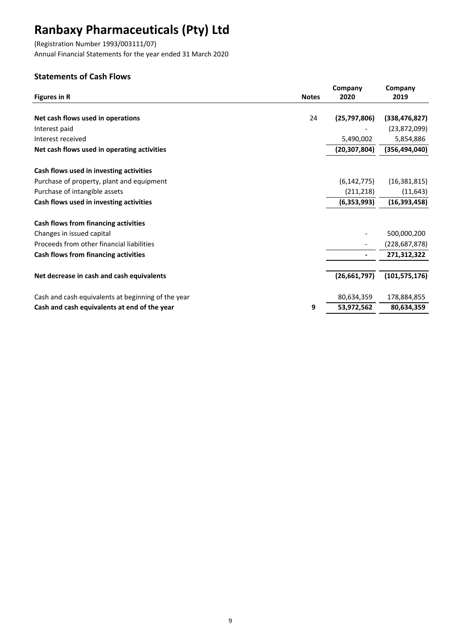(Registration Number 1993/003111/07) Annual Financial Statements for the year ended 31 March 2020

## **Statements of Cash Flows**

|                                                    |              | Company        | Company         |
|----------------------------------------------------|--------------|----------------|-----------------|
| <b>Figures in R</b>                                | <b>Notes</b> | 2020           | 2019            |
|                                                    |              |                |                 |
| Net cash flows used in operations                  | 24           | (25,797,806)   | (338, 476, 827) |
| Interest paid                                      |              |                | (23,872,099)    |
| Interest received                                  |              | 5,490,002      | 5,854,886       |
| Net cash flows used in operating activities        |              | (20, 307, 804) | (356, 494, 040) |
| Cash flows used in investing activities            |              |                |                 |
| Purchase of property, plant and equipment          |              | (6, 142, 775)  | (16, 381, 815)  |
| Purchase of intangible assets                      |              | (211, 218)     | (11, 643)       |
| Cash flows used in investing activities            |              | (6,353,993)    | (16, 393, 458)  |
| Cash flows from financing activities               |              |                |                 |
| Changes in issued capital                          |              |                | 500,000,200     |
| Proceeds from other financial liabilities          |              |                | (228,687,878)   |
| Cash flows from financing activities               |              |                | 271,312,322     |
| Net decrease in cash and cash equivalents          |              | (26,661,797)   | (101, 575, 176) |
| Cash and cash equivalents at beginning of the year |              | 80,634,359     | 178,884,855     |
| Cash and cash equivalents at end of the year       | 9            | 53,972,562     | 80,634,359      |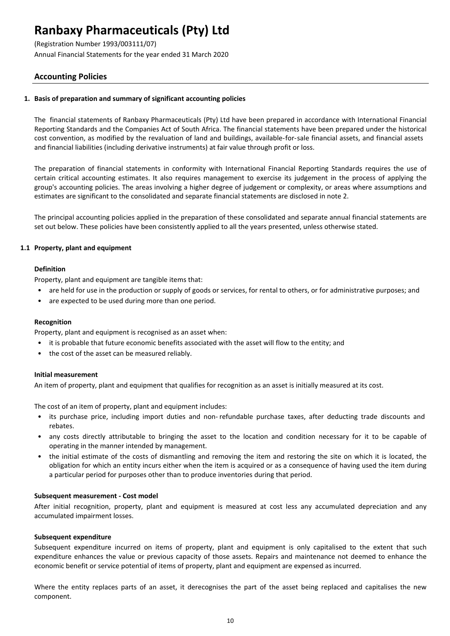(Registration Number 1993/003111/07)

Annual Financial Statements for the year ended 31 March 2020

## **Accounting Policies**

#### **1. Basis of preparation and summary of significant accounting policies**

The financial statements of Ranbaxy Pharmaceuticals (Pty) Ltd have been prepared in accordance with International Financial Reporting Standards and the Companies Act of South Africa. The financial statements have been prepared under the historical cost convention, as modified by the revaluation of land and buildings, available-for-sale financial assets, and financial assets and financial liabilities (including derivative instruments) at fair value through profit or loss.

The preparation of financial statements in conformity with International Financial Reporting Standards requires the use of certain critical accounting estimates. It also requires management to exercise its judgement in the process of applying the group's accounting policies. The areas involving a higher degree of judgement or complexity, or areas where assumptions and estimates are significant to the consolidated and separate financial statements are disclosed in note 2.

The principal accounting policies applied in the preparation of these consolidated and separate annual financial statements are set out below. These policies have been consistently applied to all the years presented, unless otherwise stated.

#### **1.1 Property, plant and equipment**

#### **Definition**

Property, plant and equipment are tangible items that:

- are held for use in the production or supply of goods or services, for rental to others, or for administrative purposes; and
- are expected to be used during more than one period.

#### **Recognition**

Property, plant and equipment is recognised as an asset when:

- it is probable that future economic benefits associated with the asset will flow to the entity; and
- the cost of the asset can be measured reliably.

#### **Initial measurement**

An item of property, plant and equipment that qualifies for recognition as an asset is initially measured at its cost.

The cost of an item of property, plant and equipment includes:

- its purchase price, including import duties and non- refundable purchase taxes, after deducting trade discounts and rebates.
- any costs directly attributable to bringing the asset to the location and condition necessary for it to be capable of operating in the manner intended by management.
- the initial estimate of the costs of dismantling and removing the item and restoring the site on which it is located, the obligation for which an entity incurs either when the item is acquired or as a consequence of having used the item during a particular period for purposes other than to produce inventories during that period.

#### **Subsequent measurement - Cost model**

After initial recognition, property, plant and equipment is measured at cost less any accumulated depreciation and any accumulated impairment losses.

#### **Subsequent expenditure**

Subsequent expenditure incurred on items of property, plant and equipment is only capitalised to the extent that such expenditure enhances the value or previous capacity of those assets. Repairs and maintenance not deemed to enhance the economic benefit or service potential of items of property, plant and equipment are expensed as incurred.

Where the entity replaces parts of an asset, it derecognises the part of the asset being replaced and capitalises the new component.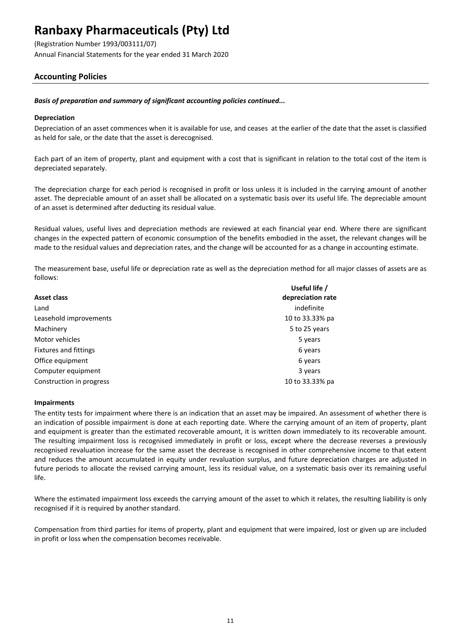(Registration Number 1993/003111/07)

Annual Financial Statements for the year ended 31 March 2020

## **Accounting Policies**

#### *Basis of preparation and summary of significant accounting policies continued...*

#### **Depreciation**

Depreciation of an asset commences when it is available for use, and ceases at the earlier of the date that the asset is classified as held for sale, or the date that the asset is derecognised.

Each part of an item of property, plant and equipment with a cost that is significant in relation to the total cost of the item is depreciated separately.

The depreciation charge for each period is recognised in profit or loss unless it is included in the carrying amount of another asset. The depreciable amount of an asset shall be allocated on a systematic basis over its useful life. The depreciable amount of an asset is determined after deducting its residual value.

Residual values, useful lives and depreciation methods are reviewed at each financial year end. Where there are significant changes in the expected pattern of economic consumption of the benefits embodied in the asset, the relevant changes will be made to the residual values and depreciation rates, and the change will be accounted for as a change in accounting estimate.

The measurement base, useful life or depreciation rate as well as the depreciation method for all major classes of assets are as follows: **Useful life /**

|                              | Useful life /     |
|------------------------------|-------------------|
| Asset class                  | depreciation rate |
| Land                         | indefinite        |
| Leasehold improvements       | 10 to 33.33% pa   |
| Machinery                    | 5 to 25 years     |
| Motor vehicles               | 5 years           |
| <b>Fixtures and fittings</b> | 6 years           |
| Office equipment             | 6 years           |
| Computer equipment           | 3 years           |
| Construction in progress     | 10 to 33.33% pa   |

#### **Impairments**

The entity tests for impairment where there is an indication that an asset may be impaired. An assessment of whether there is an indication of possible impairment is done at each reporting date. Where the carrying amount of an item of property, plant and equipment is greater than the estimated recoverable amount, it is written down immediately to its recoverable amount. The resulting impairment loss is recognised immediately in profit or loss, except where the decrease reverses a previously recognised revaluation increase for the same asset the decrease is recognised in other comprehensive income to that extent and reduces the amount accumulated in equity under revaluation surplus, and future depreciation charges are adjusted in future periods to allocate the revised carrying amount, less its residual value, on a systematic basis over its remaining useful life.

Where the estimated impairment loss exceeds the carrying amount of the asset to which it relates, the resulting liability is only recognised if it is required by another standard.

Compensation from third parties for items of property, plant and equipment that were impaired, lost or given up are included in profit or loss when the compensation becomes receivable.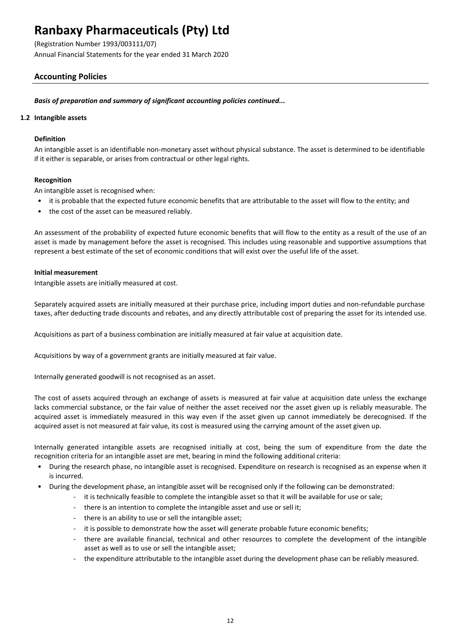(Registration Number 1993/003111/07)

Annual Financial Statements for the year ended 31 March 2020

## **Accounting Policies**

*Basis of preparation and summary of significant accounting policies continued...*

#### **1.2 Intangible assets**

#### **Definition**

An intangible asset is an identifiable non-monetary asset without physical substance. The asset is determined to be identifiable if it either is separable, or arises from contractual or other legal rights.

#### **Recognition**

An intangible asset is recognised when:

- it is probable that the expected future economic benefits that are attributable to the asset will flow to the entity; and
- the cost of the asset can be measured reliably.

An assessment of the probability of expected future economic benefits that will flow to the entity as a result of the use of an asset is made by management before the asset is recognised. This includes using reasonable and supportive assumptions that represent a best estimate of the set of economic conditions that will exist over the useful life of the asset.

#### **Initial measurement**

Intangible assets are initially measured at cost.

Separately acquired assets are initially measured at their purchase price, including import duties and non-refundable purchase taxes, after deducting trade discounts and rebates, and any directly attributable cost of preparing the asset for its intended use.

Acquisitions as part of a business combination are initially measured at fair value at acquisition date.

Acquisitions by way of a government grants are initially measured at fair value.

Internally generated goodwill is not recognised as an asset.

The cost of assets acquired through an exchange of assets is measured at fair value at acquisition date unless the exchange lacks commercial substance, or the fair value of neither the asset received nor the asset given up is reliably measurable. The acquired asset is immediately measured in this way even if the asset given up cannot immediately be derecognised. If the acquired asset is not measured at fair value, its cost is measured using the carrying amount of the asset given up.

Internally generated intangible assets are recognised initially at cost, being the sum of expenditure from the date the recognition criteria for an intangible asset are met, bearing in mind the following additional criteria:

- During the research phase, no intangible asset is recognised. Expenditure on research is recognised as an expense when it is incurred.
- During the development phase, an intangible asset will be recognised only if the following can be demonstrated:
	- it is technically feasible to complete the intangible asset so that it will be available for use or sale;
	- there is an intention to complete the intangible asset and use or sell it;
	- there is an ability to use or sell the intangible asset;
	- it is possible to demonstrate how the asset will generate probable future economic benefits;
	- there are available financial, technical and other resources to complete the development of the intangible asset as well as to use or sell the intangible asset;
	- the expenditure attributable to the intangible asset during the development phase can be reliably measured.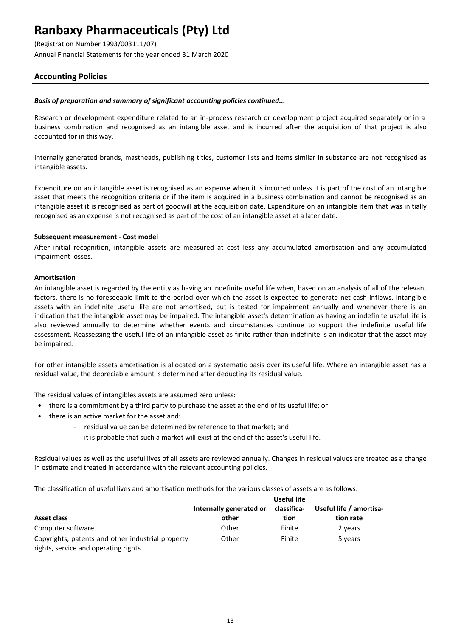(Registration Number 1993/003111/07)

Annual Financial Statements for the year ended 31 March 2020

## **Accounting Policies**

#### *Basis of preparation and summary of significant accounting policies continued...*

Research or development expenditure related to an in-process research or development project acquired separately or in a business combination and recognised as an intangible asset and is incurred after the acquisition of that project is also accounted for in this way.

Internally generated brands, mastheads, publishing titles, customer lists and items similar in substance are not recognised as intangible assets.

Expenditure on an intangible asset is recognised as an expense when it is incurred unless it is part of the cost of an intangible asset that meets the recognition criteria or if the item is acquired in a business combination and cannot be recognised as an intangible asset it is recognised as part of goodwill at the acquisition date. Expenditure on an intangible item that was initially recognised as an expense is not recognised as part of the cost of an intangible asset at a later date.

#### **Subsequent measurement - Cost model**

After initial recognition, intangible assets are measured at cost less any accumulated amortisation and any accumulated impairment losses.

#### **Amortisation**

An intangible asset is regarded by the entity as having an indefinite useful life when, based on an analysis of all of the relevant factors, there is no foreseeable limit to the period over which the asset is expected to generate net cash inflows. Intangible assets with an indefinite useful life are not amortised, but is tested for impairment annually and whenever there is an indication that the intangible asset may be impaired. The intangible asset's determination as having an indefinite useful life is also reviewed annually to determine whether events and circumstances continue to support the indefinite useful life assessment. Reassessing the useful life of an intangible asset as finite rather than indefinite is an indicator that the asset may be impaired.

For other intangible assets amortisation is allocated on a systematic basis over its useful life. Where an intangible asset has a residual value, the depreciable amount is determined after deducting its residual value.

The residual values of intangibles assets are assumed zero unless:

- there is a commitment by a third party to purchase the asset at the end of its useful life; or
- there is an active market for the asset and:
	- residual value can be determined by reference to that market; and
	- it is probable that such a market will exist at the end of the asset's useful life.

Residual values as well as the useful lives of all assets are reviewed annually. Changes in residual values are treated as a change in estimate and treated in accordance with the relevant accounting policies.

The classification of useful lives and amortisation methods for the various classes of assets are as follows:

|                                                                                           |                         | Useful life |                         |
|-------------------------------------------------------------------------------------------|-------------------------|-------------|-------------------------|
|                                                                                           | Internally generated or | classifica- | Useful life / amortisa- |
| Asset class                                                                               | other                   | tion        | tion rate               |
| Computer software                                                                         | Other                   | Finite      | 2 years                 |
| Copyrights, patents and other industrial property<br>rights, service and operating rights | Other                   | Finite      | 5 years                 |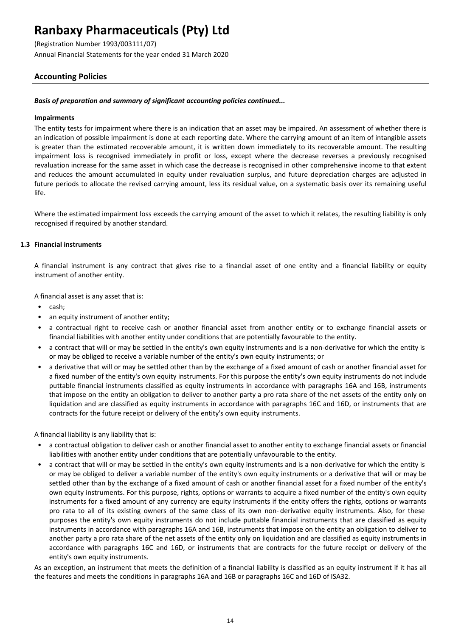(Registration Number 1993/003111/07)

Annual Financial Statements for the year ended 31 March 2020

## **Accounting Policies**

#### *Basis of preparation and summary of significant accounting policies continued...*

#### **Impairments**

The entity tests for impairment where there is an indication that an asset may be impaired. An assessment of whether there is an indication of possible impairment is done at each reporting date. Where the carrying amount of an item of intangible assets is greater than the estimated recoverable amount, it is written down immediately to its recoverable amount. The resulting impairment loss is recognised immediately in profit or loss, except where the decrease reverses a previously recognised revaluation increase for the same asset in which case the decrease is recognised in other comprehensive income to that extent and reduces the amount accumulated in equity under revaluation surplus, and future depreciation charges are adjusted in future periods to allocate the revised carrying amount, less its residual value, on a systematic basis over its remaining useful life.

Where the estimated impairment loss exceeds the carrying amount of the asset to which it relates, the resulting liability is only recognised if required by another standard.

#### **1.3 Financial instruments**

A financial instrument is any contract that gives rise to a financial asset of one entity and a financial liability or equity instrument of another entity.

A financial asset is any asset that is:

- cash;
- an equity instrument of another entity;
- a contractual right to receive cash or another financial asset from another entity or to exchange financial assets or financial liabilities with another entity under conditions that are potentially favourable to the entity.
- a contract that will or may be settled in the entity's own equity instruments and is a non-derivative for which the entity is or may be obliged to receive a variable number of the entity's own equity instruments; or
- a derivative that will or may be settled other than by the exchange of a fixed amount of cash or another financial asset for a fixed number of the entity's own equity instruments. For this purpose the entity's own equity instruments do not include puttable financial instruments classified as equity instruments in accordance with paragraphs 16A and 16B, instruments that impose on the entity an obligation to deliver to another party a pro rata share of the net assets of the entity only on liquidation and are classified as equity instruments in accordance with paragraphs 16C and 16D, or instruments that are contracts for the future receipt or delivery of the entity's own equity instruments.

A financial liability is any liability that is:

- a contractual obligation to deliver cash or another financial asset to another entity to exchange financial assets or financial liabilities with another entity under conditions that are potentially unfavourable to the entity.
- a contract that will or may be settled in the entity's own equity instruments and is a non-derivative for which the entity is or may be obliged to deliver a variable number of the entity's own equity instruments or a derivative that will or may be settled other than by the exchange of a fixed amount of cash or another financial asset for a fixed number of the entity's own equity instruments. For this purpose, rights, options or warrants to acquire a fixed number of the entity's own equity instruments for a fixed amount of any currency are equity instruments if the entity offers the rights, options or warrants pro rata to all of its existing owners of the same class of its own non- derivative equity instruments. Also, for these purposes the entity's own equity instruments do not include puttable financial instruments that are classified as equity instruments in accordance with paragraphs 16A and 16B, instruments that impose on the entity an obligation to deliver to another party a pro rata share of the net assets of the entity only on liquidation and are classified as equity instruments in accordance with paragraphs 16C and 16D, or instruments that are contracts for the future receipt or delivery of the entity's own equity instruments.

As an exception, an instrument that meets the definition of a financial liability is classified as an equity instrument if it has all the features and meets the conditions in paragraphs 16A and 16B or paragraphs 16C and 16D of ISA32.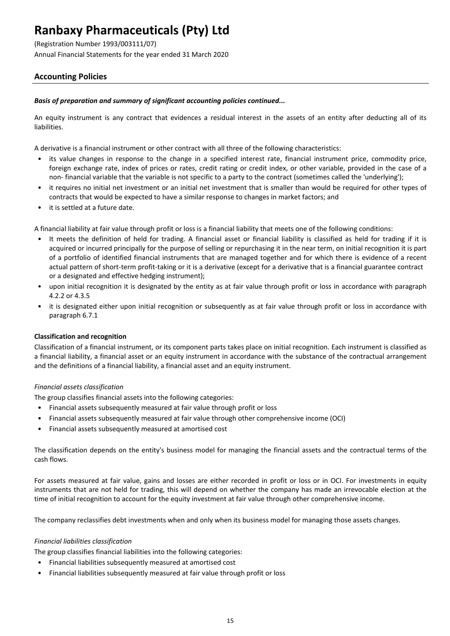(Registration Number 1993/003111/07)

Annual Financial Statements for the year ended 31 March 2020

## **Accounting Policies**

#### *Basis of preparation and summary of significant accounting policies continued...*

An equity instrument is any contract that evidences a residual interest in the assets of an entity after deducting all of its liabilities.

A derivative is a financial instrument or other contract with all three of the following characteristics:

- its value changes in response to the change in a specified interest rate, financial instrument price, commodity price, foreign exchange rate, index of prices or rates, credit rating or credit index, or other variable, provided in the case of a non- financial variable that the variable is not specific to a party to the contract (sometimes called the 'underlying');
- it requires no initial net investment or an initial net investment that is smaller than would be required for other types of contracts that would be expected to have a similar response to changes in market factors; and
- it is settled at a future date.

A financial liability at fair value through profit or loss is a financial liability that meets one of the following conditions:

- It meets the definition of held for trading. A financial asset or financial liability is classified as held for trading if it is acquired or incurred principally for the purpose of selling or repurchasing it in the near term, on initial recognition it is part of a portfolio of identified financial instruments that are managed together and for which there is evidence of a recent actual pattern of short-term profit-taking or it is a derivative (except for a derivative that is a financial guarantee contract or a designated and effective hedging instrument);
- upon initial recognition it is designated by the entity as at fair value through profit or loss in accordance with paragraph 4.2.2 or 4.3.5
- it is designated either upon initial recognition or subsequently as at fair value through profit or loss in accordance with paragraph 6.7.1

### **Classification and recognition**

Classification of a financial instrument, or its component parts takes place on initial recognition. Each instrument is classified as a financial liability, a financial asset or an equity instrument in accordance with the substance of the contractual arrangement and the definitions of a financial liability, a financial asset and an equity instrument.

### *Financial assets classification*

The group classifies financial assets into the following categories:

- Financial assets subsequently measured at fair value through profit or loss
- Financial assets subsequently measured at fair value through other comprehensive income (OCI)
- Financial assets subsequently measured at amortised cost

The classification depends on the entity's business model for managing the financial assets and the contractual terms of the cash flows.

For assets measured at fair value, gains and losses are either recorded in profit or loss or in OCI. For investments in equity instruments that are not held for trading, this will depend on whether the company has made an irrevocable election at the time of initial recognition to account for the equity investment at fair value through other comprehensive income.

The company reclassifies debt investments when and only when its business model for managing those assets changes.

### *Financial liabilities classification*

The group classifies financial liabilities into the following categories:

- Financial liabilities subsequently measured at amortised cost
- Financial liabilities subsequently measured at fair value through profit or loss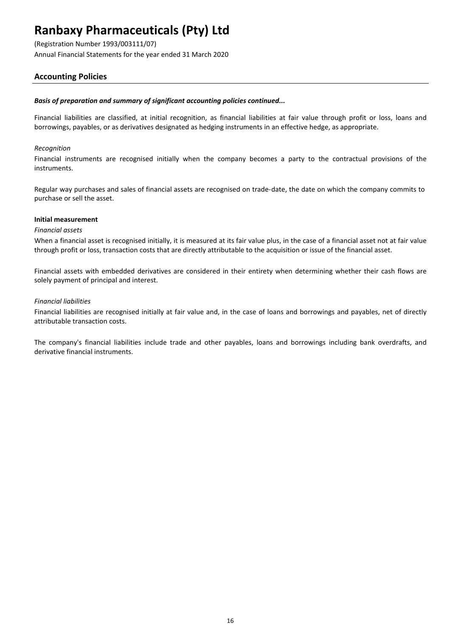(Registration Number 1993/003111/07)

Annual Financial Statements for the year ended 31 March 2020

## **Accounting Policies**

#### *Basis of preparation and summary of significant accounting policies continued...*

Financial liabilities are classified, at initial recognition, as financial liabilities at fair value through profit or loss, loans and borrowings, payables, or as derivatives designated as hedging instruments in an effective hedge, as appropriate.

#### *Recognition*

Financial instruments are recognised initially when the company becomes a party to the contractual provisions of the instruments.

Regular way purchases and sales of financial assets are recognised on trade-date, the date on which the company commits to purchase or sell the asset.

#### **Initial measurement**

#### *Financial assets*

When a financial asset is recognised initially, it is measured at its fair value plus, in the case of a financial asset not at fair value through profit or loss, transaction costs that are directly attributable to the acquisition or issue of the financial asset.

Financial assets with embedded derivatives are considered in their entirety when determining whether their cash flows are solely payment of principal and interest.

#### *Financial liabilities*

Financial liabilities are recognised initially at fair value and, in the case of loans and borrowings and payables, net of directly attributable transaction costs.

The company's financial liabilities include trade and other payables, loans and borrowings including bank overdrafts, and derivative financial instruments.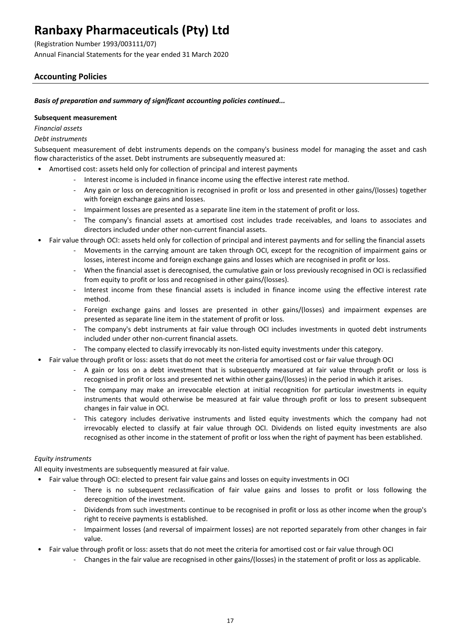(Registration Number 1993/003111/07)

Annual Financial Statements for the year ended 31 March 2020

## **Accounting Policies**

*Basis of preparation and summary of significant accounting policies continued...*

#### **Subsequent measurement**

*Financial assets*

#### *Debt instruments*

Subsequent measurement of debt instruments depends on the company's business model for managing the asset and cash flow characteristics of the asset. Debt instruments are subsequently measured at:

- Amortised cost: assets held only for collection of principal and interest payments
	- Interest income is included in finance income using the effective interest rate method.
	- Any gain or loss on derecognition is recognised in profit or loss and presented in other gains/(losses) together with foreign exchange gains and losses.
	- Impairment losses are presented as a separate line item in the statement of profit or loss.
	- The company's financial assets at amortised cost includes trade receivables, and loans to associates and directors included under other non-current financial assets.
- Fair value through OCI: assets held only for collection of principal and interest payments and for selling the financial assets
	- Movements in the carrying amount are taken through OCI, except for the recognition of impairment gains or losses, interest income and foreign exchange gains and losses which are recognised in profit or loss.
	- When the financial asset is derecognised, the cumulative gain or loss previously recognised in OCI is reclassified from equity to profit or loss and recognised in other gains/(losses).
	- Interest income from these financial assets is included in finance income using the effective interest rate method.
	- Foreign exchange gains and losses are presented in other gains/(losses) and impairment expenses are presented as separate line item in the statement of profit or loss.
	- The company's debt instruments at fair value through OCI includes investments in quoted debt instruments included under other non-current financial assets.
	- The company elected to classify irrevocably its non-listed equity investments under this category.
- Fair value through profit or loss: assets that do not meet the criteria for amortised cost or fair value through OCI
	- A gain or loss on a debt investment that is subsequently measured at fair value through profit or loss is recognised in profit or loss and presented net within other gains/(losses) in the period in which it arises.
	- The company may make an irrevocable election at initial recognition for particular investments in equity instruments that would otherwise be measured at fair value through profit or loss to present subsequent changes in fair value in OCI.
	- This category includes derivative instruments and listed equity investments which the company had not irrevocably elected to classify at fair value through OCI. Dividends on listed equity investments are also recognised as other income in the statement of profit or loss when the right of payment has been established.

### *Equity instruments*

All equity investments are subsequently measured at fair value.

- Fair value through OCI: elected to present fair value gains and losses on equity investments in OCI
	- There is no subsequent reclassification of fair value gains and losses to profit or loss following the derecognition of the investment.
	- Dividends from such investments continue to be recognised in profit or loss as other income when the group's right to receive payments is established.
	- Impairment losses (and reversal of impairment losses) are not reported separately from other changes in fair value.
- Fair value through profit or loss: assets that do not meet the criteria for amortised cost or fair value through OCI
	- Changes in the fair value are recognised in other gains/(losses) in the statement of profit or loss as applicable.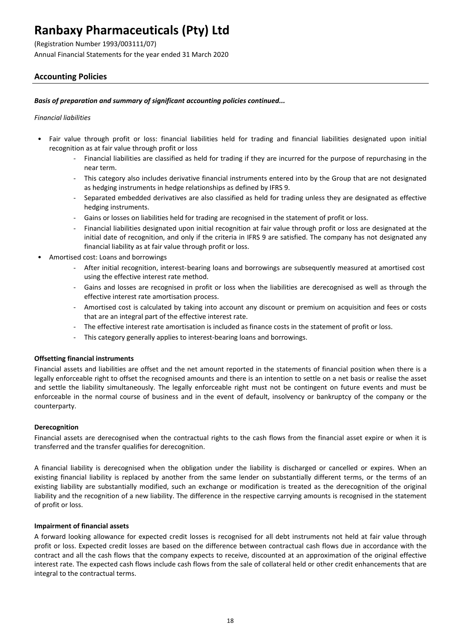(Registration Number 1993/003111/07)

Annual Financial Statements for the year ended 31 March 2020

## **Accounting Policies**

#### *Basis of preparation and summary of significant accounting policies continued...*

#### *Financial liabilities*

- Fair value through profit or loss: financial liabilities held for trading and financial liabilities designated upon initial recognition as at fair value through profit or loss
	- Financial liabilities are classified as held for trading if they are incurred for the purpose of repurchasing in the near term.
	- This category also includes derivative financial instruments entered into by the Group that are not designated as hedging instruments in hedge relationships as defined by IFRS 9.
	- Separated embedded derivatives are also classified as held for trading unless they are designated as effective hedging instruments.
	- Gains or losses on liabilities held for trading are recognised in the statement of profit or loss.
	- Financial liabilities designated upon initial recognition at fair value through profit or loss are designated at the initial date of recognition, and only if the criteria in IFRS 9 are satisfied. The company has not designated any financial liability as at fair value through profit or loss.
- Amortised cost: Loans and borrowings
	- After initial recognition, interest-bearing loans and borrowings are subsequently measured at amortised cost using the effective interest rate method.
	- Gains and losses are recognised in profit or loss when the liabilities are derecognised as well as through the effective interest rate amortisation process.
	- Amortised cost is calculated by taking into account any discount or premium on acquisition and fees or costs that are an integral part of the effective interest rate.
	- The effective interest rate amortisation is included as finance costs in the statement of profit or loss.
	- This category generally applies to interest-bearing loans and borrowings.

#### **Offsetting financial instruments**

Financial assets and liabilities are offset and the net amount reported in the statements of financial position when there is a legally enforceable right to offset the recognised amounts and there is an intention to settle on a net basis or realise the asset and settle the liability simultaneously. The legally enforceable right must not be contingent on future events and must be enforceable in the normal course of business and in the event of default, insolvency or bankruptcy of the company or the counterparty.

#### **Derecognition**

Financial assets are derecognised when the contractual rights to the cash flows from the financial asset expire or when it is transferred and the transfer qualifies for derecognition.

A financial liability is derecognised when the obligation under the liability is discharged or cancelled or expires. When an existing financial liability is replaced by another from the same lender on substantially different terms, or the terms of an existing liability are substantially modified, such an exchange or modification is treated as the derecognition of the original liability and the recognition of a new liability. The difference in the respective carrying amounts is recognised in the statement of profit or loss.

#### **Impairment of financial assets**

A forward looking allowance for expected credit losses is recognised for all debt instruments not held at fair value through profit or loss. Expected credit losses are based on the difference between contractual cash flows due in accordance with the contract and all the cash flows that the company expects to receive, discounted at an approximation of the original effective interest rate. The expected cash flows include cash flows from the sale of collateral held or other credit enhancements that are integral to the contractual terms.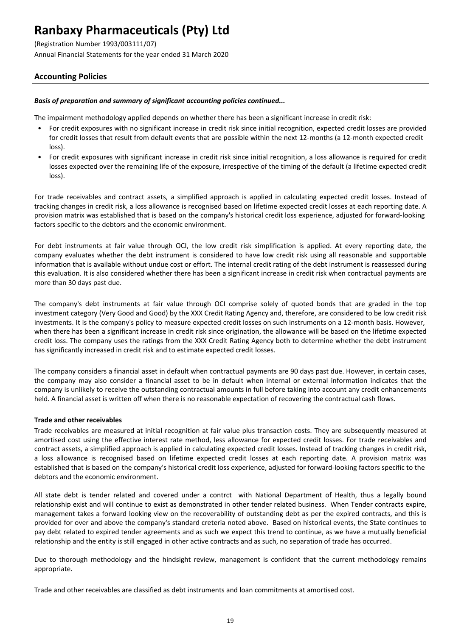(Registration Number 1993/003111/07)

Annual Financial Statements for the year ended 31 March 2020

## **Accounting Policies**

#### *Basis of preparation and summary of significant accounting policies continued...*

The impairment methodology applied depends on whether there has been a significant increase in credit risk:

- For credit exposures with no significant increase in credit risk since initial recognition, expected credit losses are provided for credit losses that result from default events that are possible within the next 12-months (a 12-month expected credit loss).
- For credit exposures with significant increase in credit risk since initial recognition, a loss allowance is required for credit losses expected over the remaining life of the exposure, irrespective of the timing of the default (a lifetime expected credit loss).

For trade receivables and contract assets, a simplified approach is applied in calculating expected credit losses. Instead of tracking changes in credit risk, a loss allowance is recognised based on lifetime expected credit losses at each reporting date. A provision matrix was established that is based on the company's historical credit loss experience, adjusted for forward-looking factors specific to the debtors and the economic environment.

For debt instruments at fair value through OCI, the low credit risk simplification is applied. At every reporting date, the company evaluates whether the debt instrument is considered to have low credit risk using all reasonable and supportable information that is available without undue cost or effort. The internal credit rating of the debt instrument is reassessed during this evaluation. It is also considered whether there has been a significant increase in credit risk when contractual payments are more than 30 days past due.

The company's debt instruments at fair value through OCI comprise solely of quoted bonds that are graded in the top investment category (Very Good and Good) by the XXX Credit Rating Agency and, therefore, are considered to be low credit risk investments. It is the company's policy to measure expected credit losses on such instruments on a 12-month basis. However, when there has been a significant increase in credit risk since origination, the allowance will be based on the lifetime expected credit loss. The company uses the ratings from the XXX Credit Rating Agency both to determine whether the debt instrument has significantly increased in credit risk and to estimate expected credit losses.

The company considers a financial asset in default when contractual payments are 90 days past due. However, in certain cases, the company may also consider a financial asset to be in default when internal or external information indicates that the company is unlikely to receive the outstanding contractual amounts in full before taking into account any credit enhancements held. A financial asset is written off when there is no reasonable expectation of recovering the contractual cash flows.

#### **Trade and other receivables**

Trade receivables are measured at initial recognition at fair value plus transaction costs. They are subsequently measured at amortised cost using the effective interest rate method, less allowance for expected credit losses. For trade receivables and contract assets, a simplified approach is applied in calculating expected credit losses. Instead of tracking changes in credit risk, a loss allowance is recognised based on lifetime expected credit losses at each reporting date. A provision matrix was established that is based on the company's historical credit loss experience, adjusted for forward-looking factors specific to the debtors and the economic environment.

All state debt is tender related and covered under a contrct with National Department of Health, thus a legally bound relationship exist and will continue to exist as demonstrated in other tender related business. When Tender contracts expire, management takes a forward looking view on the recoverability of outstanding debt as per the expired contracts, and this is provided for over and above the company's standard creteria noted above. Based on historical events, the State continues to pay debt related to expired tender agreements and as such we expect this trend to continue, as we have a mutually beneficial relationship and the entity is still engaged in other active contracts and as such, no separation of trade has occurred.

Due to thorough methodology and the hindsight review, management is confident that the current methodology remains appropriate.

Trade and other receivables are classified as debt instruments and loan commitments at amortised cost.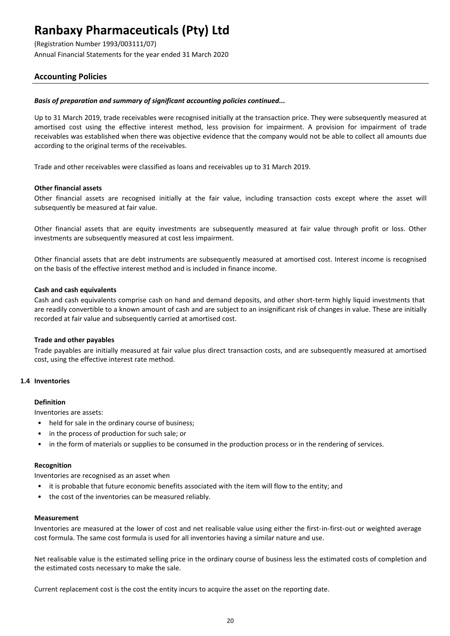(Registration Number 1993/003111/07)

Annual Financial Statements for the year ended 31 March 2020

### **Accounting Policies**

#### *Basis of preparation and summary of significant accounting policies continued...*

Up to 31 March 2019, trade receivables were recognised initially at the transaction price. They were subsequently measured at amortised cost using the effective interest method, less provision for impairment. A provision for impairment of trade receivables was established when there was objective evidence that the company would not be able to collect all amounts due according to the original terms of the receivables.

Trade and other receivables were classified as loans and receivables up to 31 March 2019.

#### **Other financial assets**

Other financial assets are recognised initially at the fair value, including transaction costs except where the asset will subsequently be measured at fair value.

Other financial assets that are equity investments are subsequently measured at fair value through profit or loss. Other investments are subsequently measured at cost less impairment.

Other financial assets that are debt instruments are subsequently measured at amortised cost. Interest income is recognised on the basis of the effective interest method and is included in finance income.

#### **Cash and cash equivalents**

Cash and cash equivalents comprise cash on hand and demand deposits, and other short-term highly liquid investments that are readily convertible to a known amount of cash and are subject to an insignificant risk of changes in value. These are initially recorded at fair value and subsequently carried at amortised cost.

#### **Trade and other payables**

Trade payables are initially measured at fair value plus direct transaction costs, and are subsequently measured at amortised cost, using the effective interest rate method.

#### **1.4 Inventories**

#### **Definition**

Inventories are assets:

- held for sale in the ordinary course of business;
- in the process of production for such sale; or
- in the form of materials or supplies to be consumed in the production process or in the rendering of services.

#### **Recognition**

Inventories are recognised as an asset when

- it is probable that future economic benefits associated with the item will flow to the entity; and
- the cost of the inventories can be measured reliably.

#### **Measurement**

Inventories are measured at the lower of cost and net realisable value using either the first-in-first-out or weighted average cost formula. The same cost formula is used for all inventories having a similar nature and use.

Net realisable value is the estimated selling price in the ordinary course of business less the estimated costs of completion and the estimated costs necessary to make the sale.

Current replacement cost is the cost the entity incurs to acquire the asset on the reporting date.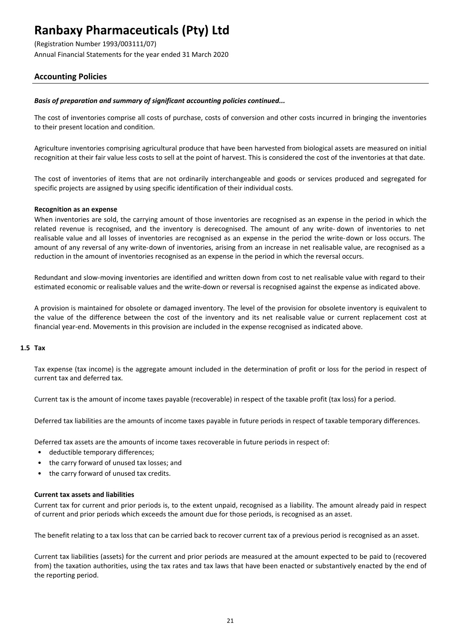(Registration Number 1993/003111/07)

Annual Financial Statements for the year ended 31 March 2020

### **Accounting Policies**

#### *Basis of preparation and summary of significant accounting policies continued...*

The cost of inventories comprise all costs of purchase, costs of conversion and other costs incurred in bringing the inventories to their present location and condition.

Agriculture inventories comprising agricultural produce that have been harvested from biological assets are measured on initial recognition at their fair value less costs to sell at the point of harvest. This is considered the cost of the inventories at that date.

The cost of inventories of items that are not ordinarily interchangeable and goods or services produced and segregated for specific projects are assigned by using specific identification of their individual costs.

#### **Recognition as an expense**

When inventories are sold, the carrying amount of those inventories are recognised as an expense in the period in which the related revenue is recognised, and the inventory is derecognised. The amount of any write- down of inventories to net realisable value and all losses of inventories are recognised as an expense in the period the write-down or loss occurs. The amount of any reversal of any write-down of inventories, arising from an increase in net realisable value, are recognised as a reduction in the amount of inventories recognised as an expense in the period in which the reversal occurs.

Redundant and slow-moving inventories are identified and written down from cost to net realisable value with regard to their estimated economic or realisable values and the write-down or reversal is recognised against the expense as indicated above.

A provision is maintained for obsolete or damaged inventory. The level of the provision for obsolete inventory is equivalent to the value of the difference between the cost of the inventory and its net realisable value or current replacement cost at financial year-end. Movements in this provision are included in the expense recognised as indicated above.

#### **1.5 Tax**

Tax expense (tax income) is the aggregate amount included in the determination of profit or loss for the period in respect of current tax and deferred tax.

Current tax is the amount of income taxes payable (recoverable) in respect of the taxable profit (tax loss) for a period.

Deferred tax liabilities are the amounts of income taxes payable in future periods in respect of taxable temporary differences.

Deferred tax assets are the amounts of income taxes recoverable in future periods in respect of:

- deductible temporary differences;
- the carry forward of unused tax losses; and
- the carry forward of unused tax credits.

#### **Current tax assets and liabilities**

Current tax for current and prior periods is, to the extent unpaid, recognised as a liability. The amount already paid in respect of current and prior periods which exceeds the amount due for those periods, is recognised as an asset.

The benefit relating to a tax loss that can be carried back to recover current tax of a previous period is recognised as an asset.

Current tax liabilities (assets) for the current and prior periods are measured at the amount expected to be paid to (recovered from) the taxation authorities, using the tax rates and tax laws that have been enacted or substantively enacted by the end of the reporting period.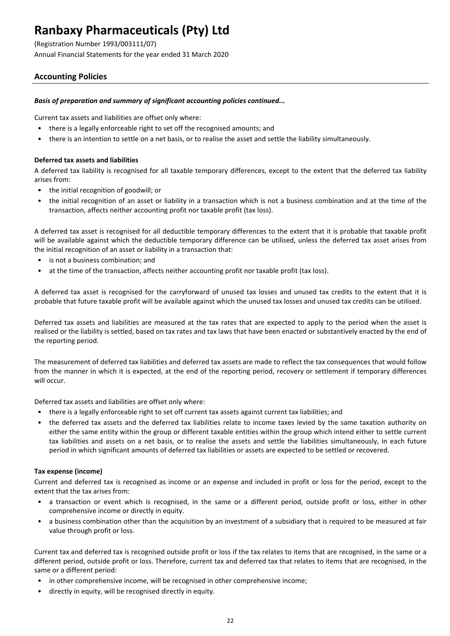(Registration Number 1993/003111/07)

Annual Financial Statements for the year ended 31 March 2020

## **Accounting Policies**

#### *Basis of preparation and summary of significant accounting policies continued...*

Current tax assets and liabilities are offset only where:

- there is a legally enforceable right to set off the recognised amounts; and
- there is an intention to settle on a net basis, or to realise the asset and settle the liability simultaneously.

#### **Deferred tax assets and liabilities**

A deferred tax liability is recognised for all taxable temporary differences, except to the extent that the deferred tax liability arises from:

- the initial recognition of goodwill; or
- the initial recognition of an asset or liability in a transaction which is not a business combination and at the time of the transaction, affects neither accounting profit nor taxable profit (tax loss).

A deferred tax asset is recognised for all deductible temporary differences to the extent that it is probable that taxable profit will be available against which the deductible temporary difference can be utilised, unless the deferred tax asset arises from the initial recognition of an asset or liability in a transaction that:

- is not a business combination; and
- at the time of the transaction, affects neither accounting profit nor taxable profit (tax loss).

A deferred tax asset is recognised for the carryforward of unused tax losses and unused tax credits to the extent that it is probable that future taxable profit will be available against which the unused tax losses and unused tax credits can be utilised.

Deferred tax assets and liabilities are measured at the tax rates that are expected to apply to the period when the asset is realised or the liability is settled, based on tax rates and tax laws that have been enacted or substantively enacted by the end of the reporting period.

The measurement of deferred tax liabilities and deferred tax assets are made to reflect the tax consequences that would follow from the manner in which it is expected, at the end of the reporting period, recovery or settlement if temporary differences will occur.

Deferred tax assets and liabilities are offset only where:

- there is a legally enforceable right to set off current tax assets against current tax liabilities; and
- the deferred tax assets and the deferred tax liabilities relate to income taxes levied by the same taxation authority on either the same entity within the group or different taxable entities within the group which intend either to settle current tax liabilities and assets on a net basis, or to realise the assets and settle the liabilities simultaneously, in each future period in which significant amounts of deferred tax liabilities or assets are expected to be settled or recovered.

#### **Tax expense (income)**

Current and deferred tax is recognised as income or an expense and included in profit or loss for the period, except to the extent that the tax arises from:

- a transaction or event which is recognised, in the same or a different period, outside profit or loss, either in other comprehensive income or directly in equity.
- a business combination other than the acquisition by an investment of a subsidiary that is required to be measured at fair value through profit or loss.

Current tax and deferred tax is recognised outside profit or loss if the tax relates to items that are recognised, in the same or a different period, outside profit or loss. Therefore, current tax and deferred tax that relates to items that are recognised, in the same or a different period:

- in other comprehensive income, will be recognised in other comprehensive income;
- directly in equity, will be recognised directly in equity.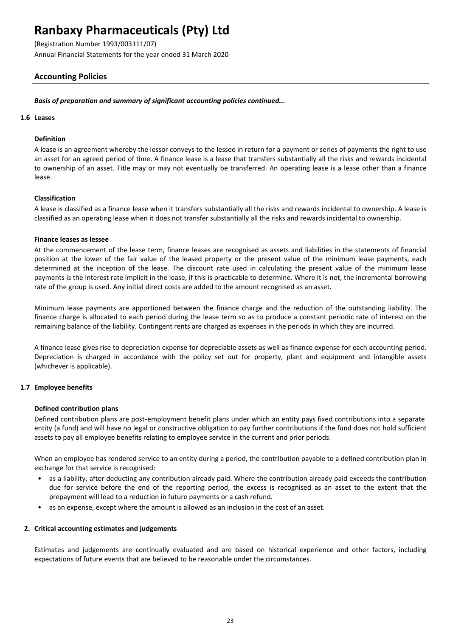(Registration Number 1993/003111/07)

Annual Financial Statements for the year ended 31 March 2020

### **Accounting Policies**

*Basis of preparation and summary of significant accounting policies continued...*

#### **1.6 Leases**

#### **Definition**

A lease is an agreement whereby the lessor conveys to the lessee in return for a payment or series of payments the right to use an asset for an agreed period of time. A finance lease is a lease that transfers substantially all the risks and rewards incidental to ownership of an asset. Title may or may not eventually be transferred. An operating lease is a lease other than a finance lease.

#### **Classification**

A lease is classified as a finance lease when it transfers substantially all the risks and rewards incidental to ownership. A lease is classified as an operating lease when it does not transfer substantially all the risks and rewards incidental to ownership.

#### **Finance leases as lessee**

At the commencement of the lease term, finance leases are recognised as assets and liabilities in the statements of financial position at the lower of the fair value of the leased property or the present value of the minimum lease payments, each determined at the inception of the lease. The discount rate used in calculating the present value of the minimum lease payments is the interest rate implicit in the lease, if this is practicable to determine. Where it is not, the incremental borrowing rate of the group is used. Any initial direct costs are added to the amount recognised as an asset.

Minimum lease payments are apportioned between the finance charge and the reduction of the outstanding liability. The finance charge is allocated to each period during the lease term so as to produce a constant periodic rate of interest on the remaining balance of the liability. Contingent rents are charged as expenses in the periods in which they are incurred.

A finance lease gives rise to depreciation expense for depreciable assets as well as finance expense for each accounting period. Depreciation is charged in accordance with the policy set out for property, plant and equipment and intangible assets (whichever is applicable).

#### **1.7 Employee benefits**

#### **Defined contribution plans**

Defined contribution plans are post-employment benefit plans under which an entity pays fixed contributions into a separate entity (a fund) and will have no legal or constructive obligation to pay further contributions if the fund does not hold sufficient assets to pay all employee benefits relating to employee service in the current and prior periods.

When an employee has rendered service to an entity during a period, the contribution payable to a defined contribution plan in exchange for that service is recognised:

- as a liability, after deducting any contribution already paid. Where the contribution already paid exceeds the contribution due for service before the end of the reporting period, the excess is recognised as an asset to the extent that the prepayment will lead to a reduction in future payments or a cash refund.
- as an expense, except where the amount is allowed as an inclusion in the cost of an asset.

#### **2. Critical accounting estimates and judgements**

Estimates and judgements are continually evaluated and are based on historical experience and other factors, including expectations of future events that are believed to be reasonable under the circumstances.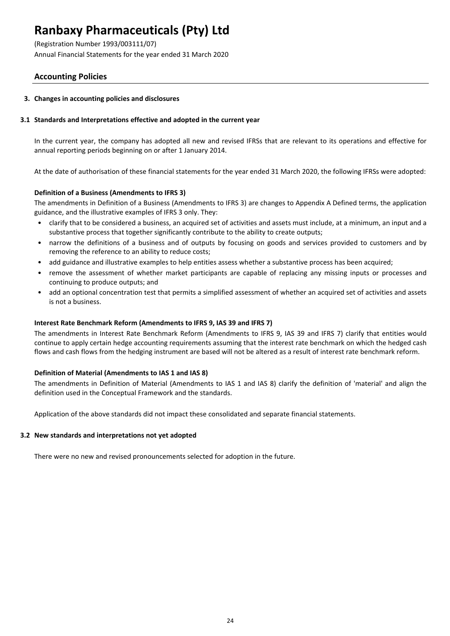(Registration Number 1993/003111/07)

Annual Financial Statements for the year ended 31 March 2020

## **Accounting Policies**

#### **3. Changes in accounting policies and disclosures**

#### **3.1 Standards and Interpretations effective and adopted in the current year**

In the current year, the company has adopted all new and revised IFRSs that are relevant to its operations and effective for annual reporting periods beginning on or after 1 January 2014.

At the date of authorisation of these financial statements for the year ended 31 March 2020, the following IFRSs were adopted:

#### **Definition of a Business (Amendments to IFRS 3)**

The amendments in Definition of a Business (Amendments to IFRS 3) are changes to Appendix A Defined terms, the application guidance, and the illustrative examples of IFRS 3 only. They:

- clarify that to be considered a business, an acquired set of activities and assets must include, at a minimum, an input and a substantive process that together significantly contribute to the ability to create outputs;
- narrow the definitions of a business and of outputs by focusing on goods and services provided to customers and by removing the reference to an ability to reduce costs;
- add guidance and illustrative examples to help entities assess whether a substantive process has been acquired;
- remove the assessment of whether market participants are capable of replacing any missing inputs or processes and continuing to produce outputs; and
- add an optional concentration test that permits a simplified assessment of whether an acquired set of activities and assets is not a business.

#### **Interest Rate Benchmark Reform (Amendments to IFRS 9, IAS 39 and IFRS 7)**

The amendments in Interest Rate Benchmark Reform (Amendments to IFRS 9, IAS 39 and IFRS 7) clarify that entities would continue to apply certain hedge accounting requirements assuming that the interest rate benchmark on which the hedged cash flows and cash flows from the hedging instrument are based will not be altered as a result of interest rate benchmark reform.

#### **Definition of Material (Amendments to IAS 1 and IAS 8)**

The amendments in Definition of Material (Amendments to IAS 1 and IAS 8) clarify the definition of 'material' and align the definition used in the Conceptual Framework and the standards.

Application of the above standards did not impact these consolidated and separate financial statements.

#### **3.2 New standards and interpretations not yet adopted**

There were no new and revised pronouncements selected for adoption in the future.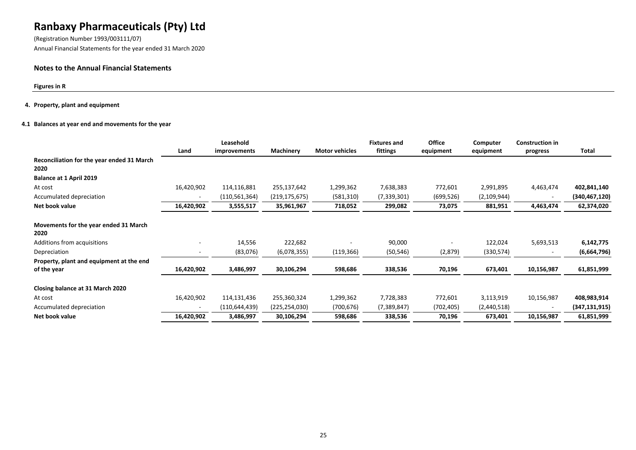(Registration Number 1993/003111/07) Annual Financial Statements for the year ended 31 March 2020

#### **Notes to the Annual Financial Statements**

#### **Figures in R**

#### **4. Property, plant and equipment**

#### **4.1 Balances at year end and movements for the year**

|                                                    |            | <b>Leasehold</b> |                  |                       | <b>Fixtures and</b> | Office     | Computer    | <b>Construction in</b> |                 |
|----------------------------------------------------|------------|------------------|------------------|-----------------------|---------------------|------------|-------------|------------------------|-----------------|
|                                                    | Land       | improvements     | <b>Machinery</b> | <b>Motor vehicles</b> | fittings            | equipment  | equipment   | progress               | <b>Total</b>    |
| Reconciliation for the year ended 31 March<br>2020 |            |                  |                  |                       |                     |            |             |                        |                 |
| Balance at 1 April 2019                            |            |                  |                  |                       |                     |            |             |                        |                 |
| At cost                                            | 16,420,902 | 114,116,881      | 255,137,642      | 1,299,362             | 7,638,383           | 772,601    | 2,991,895   | 4,463,474              | 402,841,140     |
| Accumulated depreciation                           |            | (110, 561, 364)  | (219, 175, 675)  | (581, 310)            | (7, 339, 301)       | (699, 526) | (2,109,944) |                        | (340, 467, 120) |
| Net book value                                     | 16,420,902 | 3,555,517        | 35,961,967       | 718,052               | 299,082             | 73,075     | 881,951     | 4,463,474              | 62,374,020      |
| Movements for the year ended 31 March<br>2020      |            |                  |                  |                       |                     |            |             |                        |                 |
| Additions from acquisitions                        |            | 14,556           | 222,682          |                       | 90,000              |            | 122,024     | 5,693,513              | 6,142,775       |
| Depreciation                                       |            | (83,076)         | (6,078,355)      | (119, 366)            | (50, 546)           | (2,879)    | (330, 574)  |                        | (6,664,796)     |
| Property, plant and equipment at the end           |            |                  |                  |                       |                     |            |             |                        |                 |
| of the year                                        | 16,420,902 | 3,486,997        | 30,106,294       | 598,686               | 338,536             | 70,196     | 673,401     | 10,156,987             | 61,851,999      |
| Closing balance at 31 March 2020                   |            |                  |                  |                       |                     |            |             |                        |                 |
| At cost                                            | 16,420,902 | 114,131,436      | 255,360,324      | 1,299,362             | 7,728,383           | 772,601    | 3,113,919   | 10,156,987             | 408,983,914     |
| Accumulated depreciation                           |            | (110, 644, 439)  | (225, 254, 030)  | (700, 676)            | (7,389,847)         | (702, 405) | (2,440,518) |                        | (347, 131, 915) |
| Net book value                                     | 16,420,902 | 3,486,997        | 30,106,294       | 598,686               | 338,536             | 70,196     | 673,401     | 10,156,987             | 61,851,999      |
|                                                    |            |                  |                  |                       |                     |            |             |                        |                 |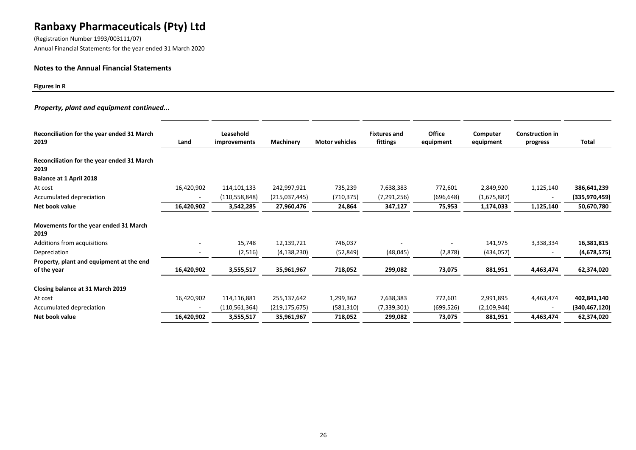(Registration Number 1993/003111/07) Annual Financial Statements for the year ended 31 March 2020

### **Notes to the Annual Financial Statements**

**Figures in R**

### *Property, plant and equipment continued...*

| Reconciliation for the year ended 31 March<br>2019      | Land       | Leasehold<br><i>improvements</i> | Machinery       | <b>Motor vehicles</b> | <b>Fixtures and</b><br>fittings | <b>Office</b><br>equipment | Computer<br>equipment | <b>Construction in</b><br>progress | Total           |
|---------------------------------------------------------|------------|----------------------------------|-----------------|-----------------------|---------------------------------|----------------------------|-----------------------|------------------------------------|-----------------|
| Reconciliation for the year ended 31 March<br>2019      |            |                                  |                 |                       |                                 |                            |                       |                                    |                 |
| <b>Balance at 1 April 2018</b>                          |            |                                  |                 |                       |                                 |                            |                       |                                    |                 |
| At cost                                                 | 16,420,902 | 114,101,133                      | 242,997,921     | 735,239               | 7,638,383                       | 772,601                    | 2,849,920             | 1,125,140                          | 386,641,239     |
| Accumulated depreciation                                |            | (110,558,848)                    | (215,037,445)   | (710, 375)            | (7, 291, 256)                   | (696, 648)                 | (1,675,887)           |                                    | (335, 970, 459) |
| Net book value                                          | 16,420,902 | 3,542,285                        | 27,960,476      | 24,864                | 347,127                         | 75,953                     | 1,174,033             | 1,125,140                          | 50,670,780      |
| Movements for the year ended 31 March<br>2019           |            |                                  |                 |                       |                                 |                            |                       |                                    |                 |
| Additions from acquisitions                             |            | 15,748                           | 12,139,721      | 746,037               |                                 |                            | 141,975               | 3,338,334                          | 16,381,815      |
| Depreciation                                            |            | (2,516)                          | (4, 138, 230)   | (52, 849)             | (48, 045)                       | (2,878)                    | (434, 057)            |                                    | (4,678,575)     |
| Property, plant and equipment at the end<br>of the year | 16,420,902 | 3,555,517                        | 35,961,967      | 718,052               | 299,082                         | 73,075                     | 881,951               | 4,463,474                          | 62,374,020      |
| Closing balance at 31 March 2019                        |            |                                  |                 |                       |                                 |                            |                       |                                    |                 |
| At cost                                                 | 16,420,902 | 114,116,881                      | 255,137,642     | 1,299,362             | 7,638,383                       | 772,601                    | 2,991,895             | 4,463,474                          | 402,841,140     |
| Accumulated depreciation                                |            | (110,561,364)                    | (219, 175, 675) | (581, 310)            | (7, 339, 301)                   | (699, 526)                 | (2,109,944)           |                                    | (340, 467, 120) |
| Net book value                                          | 16,420,902 | 3,555,517                        | 35,961,967      | 718,052               | 299,082                         | 73,075                     | 881,951               | 4,463,474                          | 62,374,020      |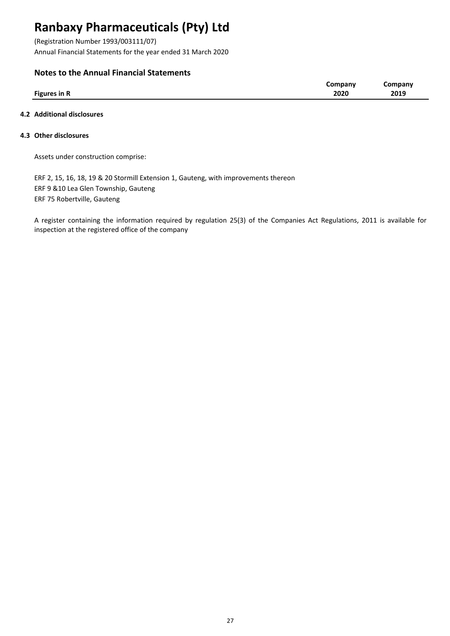(Registration Number 1993/003111/07) Annual Financial Statements for the year ended 31 March 2020

## **Notes to the Annual Financial Statements**

|                     | Company | Company |
|---------------------|---------|---------|
| <b>Figures in R</b> | 2020    | 2019    |

### **4.2 Additional disclosures**

#### **4.3 Other disclosures**

Assets under construction comprise:

ERF 2, 15, 16, 18, 19 & 20 Stormill Extension 1, Gauteng, with improvements thereon ERF 9 &10 Lea Glen Township, Gauteng ERF 75 Robertville, Gauteng

A register containing the information required by regulation 25(3) of the Companies Act Regulations, 2011 is available for inspection at the registered office of the company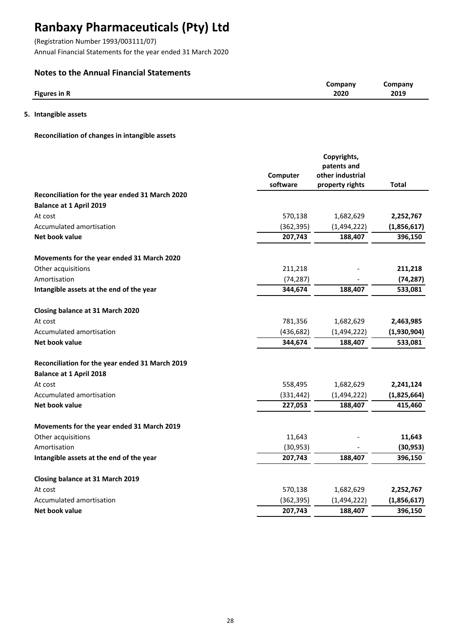(Registration Number 1993/003111/07) Annual Financial Statements for the year ended 31 March 2020

## **Notes to the Annual Financial Statements**

|                     | .ompany | $m$ nn |
|---------------------|---------|--------|
| <b>Figures in R</b> | 2020    | 2019   |
|                     |         |        |

## **5. Intangible assets**

**Reconciliation of changes in intangible assets**

|                                                 | Computer<br>software | Copyrights,<br>patents and<br>other industrial<br>property rights | <b>Total</b> |
|-------------------------------------------------|----------------------|-------------------------------------------------------------------|--------------|
| Reconciliation for the year ended 31 March 2020 |                      |                                                                   |              |
| <b>Balance at 1 April 2019</b>                  |                      |                                                                   |              |
| At cost                                         | 570,138              | 1,682,629                                                         | 2,252,767    |
| Accumulated amortisation                        | (362, 395)           | (1,494,222)                                                       | (1,856,617)  |
| Net book value                                  | 207,743              | 188,407                                                           | 396,150      |
| Movements for the year ended 31 March 2020      |                      |                                                                   |              |
| Other acquisitions                              | 211,218              |                                                                   | 211,218      |
| Amortisation                                    | (74, 287)            |                                                                   | (74, 287)    |
| Intangible assets at the end of the year        | 344,674              | 188,407                                                           | 533,081      |
| Closing balance at 31 March 2020                |                      |                                                                   |              |
| At cost                                         | 781,356              | 1,682,629                                                         | 2,463,985    |
| Accumulated amortisation                        | (436, 682)           | (1,494,222)                                                       | (1,930,904)  |
| Net book value                                  | 344,674              | 188,407                                                           | 533,081      |
| Reconciliation for the year ended 31 March 2019 |                      |                                                                   |              |
| <b>Balance at 1 April 2018</b>                  |                      |                                                                   |              |
| At cost                                         | 558,495              | 1,682,629                                                         | 2,241,124    |
| Accumulated amortisation                        | (331, 442)           | (1,494,222)                                                       | (1,825,664)  |
| Net book value                                  | 227,053              | 188,407                                                           | 415,460      |
| Movements for the year ended 31 March 2019      |                      |                                                                   |              |
| Other acquisitions                              | 11,643               |                                                                   | 11,643       |
| Amortisation                                    | (30, 953)            |                                                                   | (30, 953)    |
| Intangible assets at the end of the year        | 207,743              | 188,407                                                           | 396,150      |
| Closing balance at 31 March 2019                |                      |                                                                   |              |
| At cost                                         | 570,138              | 1,682,629                                                         | 2,252,767    |
| Accumulated amortisation                        | (362, 395)           | (1,494,222)                                                       | (1,856,617)  |
| Net book value                                  | 207,743              | 188,407                                                           | 396,150      |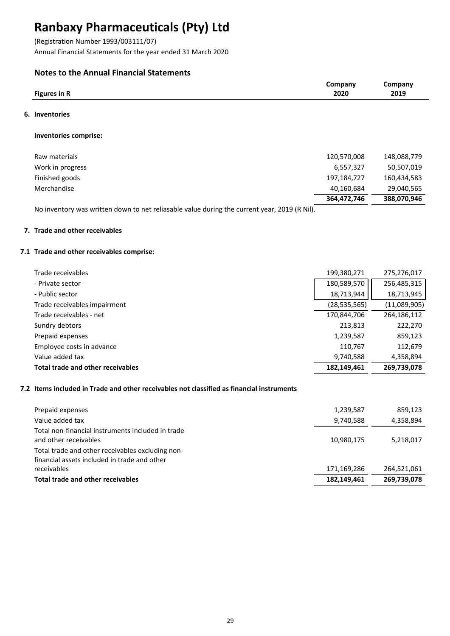(Registration Number 1993/003111/07)

Annual Financial Statements for the year ended 31 March 2020

## **Notes to the Annual Financial Statements**

|                     | Company     | company |
|---------------------|-------------|---------|
| <b>Figures in R</b> | 2020<br>___ | 2019    |

### **6. Inventories**

#### **Inventories comprise:**

| Raw materials    | 120,570,008 | 148,088,779 |
|------------------|-------------|-------------|
| Work in progress | 6,557,327   | 50,507,019  |
| Finished goods   | 197,184,727 | 160,434,583 |
| Merchandise      | 40,160,684  | 29,040,565  |
|                  | 364,472,746 | 388,070,946 |

No inventory was written down to net reliasable value during the current year, 2019 (R Nil).

#### **7. Trade and other receivables**

#### **7.1 Trade and other receivables comprise:**

| Trade receivables                        | 199,380,271    | 275,276,017  |
|------------------------------------------|----------------|--------------|
| - Private sector                         | 180,589,570    | 256,485,315  |
| - Public sector                          | 18,713,944     | 18,713,945   |
| Trade receivables impairment             | (28, 535, 565) | (11,089,905) |
| Trade receivables - net                  | 170,844,706    | 264,186,112  |
| Sundry debtors                           | 213,813        | 222,270      |
| Prepaid expenses                         | 1,239,587      | 859,123      |
| Employee costs in advance                | 110,767        | 112,679      |
| Value added tax                          | 9,740,588      | 4,358,894    |
| <b>Total trade and other receivables</b> | 182,149,461    | 269,739,078  |
|                                          |                |              |

### **7.2 Items included in Trade and other receivables not classified as financial instruments**

| Prepaid expenses                                                                                 | 1,239,587   | 859,123     |
|--------------------------------------------------------------------------------------------------|-------------|-------------|
| Value added tax                                                                                  | 9,740,588   | 4,358,894   |
| Total non-financial instruments included in trade<br>and other receivables                       | 10,980,175  | 5,218,017   |
| Total trade and other receivables excluding non-<br>financial assets included in trade and other |             |             |
| receivables                                                                                      | 171,169,286 | 264,521,061 |
| Total trade and other receivables                                                                | 182,149,461 | 269,739,078 |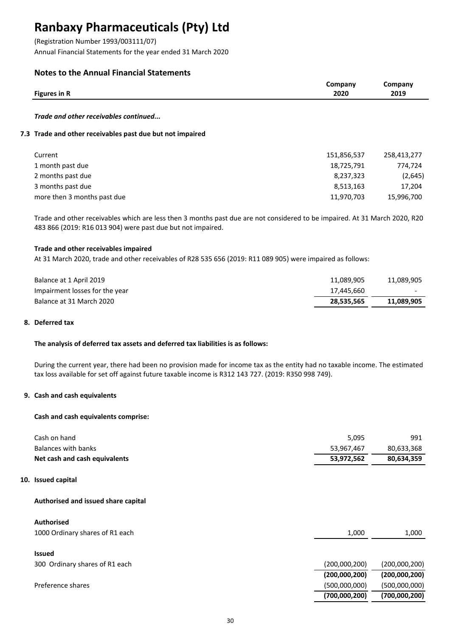(Registration Number 1993/003111/07)

Annual Financial Statements for the year ended 31 March 2020

## **Notes to the Annual Financial Statements**

|                     | Company    | Company    |
|---------------------|------------|------------|
| <b>Figures in R</b> | 2020<br>__ | 2019<br>__ |
|                     |            |            |

#### *Trade and other receivables continued...*

#### **7.3 Trade and other receivables past due but not impaired**

| Current                     | 151,856,537 | 258,413,277 |
|-----------------------------|-------------|-------------|
| 1 month past due            | 18,725,791  | 774.724     |
| 2 months past due           | 8,237,323   | (2,645)     |
| 3 months past due           | 8,513,163   | 17,204      |
| more then 3 months past due | 11,970,703  | 15,996,700  |

Trade and other receivables which are less then 3 months past due are not considered to be impaired. At 31 March 2020, R20 483 866 (2019: R16 013 904) were past due but not impaired.

#### **Trade and other receivables impaired**

At 31 March 2020, trade and other receivables of R28 535 656 (2019: R11 089 905) were impaired as follows:

| Balance at 1 April 2019        | 11.089.905 | 11,089,905 |
|--------------------------------|------------|------------|
| Impairment losses for the year | 17,445,660 |            |
| Balance at 31 March 2020       | 28.535.565 | 11.089.905 |

#### **8. Deferred tax**

#### **The analysis of deferred tax assets and deferred tax liabilities is as follows:**

During the current year, there had been no provision made for income tax as the entity had no taxable income. The estimated tax loss available for set off against future taxable income is R312 143 727. (2019: R350 998 749).

#### **9. Cash and cash equivalents**

#### **Cash and cash equivalents comprise:**

| Cash on hand                        | 5,095         | 991           |
|-------------------------------------|---------------|---------------|
| Balances with banks                 | 53,967,467    | 80,633,368    |
| Net cash and cash equivalents       | 53,972,562    | 80,634,359    |
| 10. Issued capital                  |               |               |
| Authorised and issued share capital |               |               |
| <b>Authorised</b>                   |               |               |
| 1000 Ordinary shares of R1 each     | 1,000         | 1,000         |
| <b>Issued</b>                       |               |               |
| 300 Ordinary shares of R1 each      | (200,000,200) | (200,000,200) |
|                                     | (200,000,200) | (200,000,200) |
| Preference shares                   | (500,000,000) | (500,000,000) |
|                                     | (700,000,200) | (700,000,200) |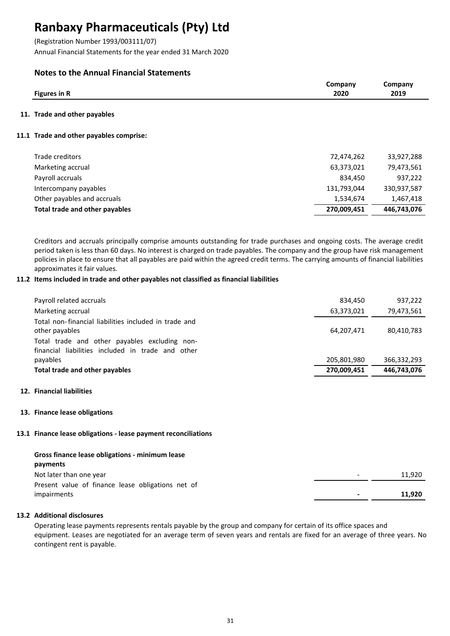(Registration Number 1993/003111/07) Annual Financial Statements for the year ended 31 March 2020

## **Notes to the Annual Financial Statements**

|                     | Company | Company |
|---------------------|---------|---------|
| <b>Figures in R</b> | 2020    | 2019    |
|                     |         |         |

### **11. Trade and other payables**

### **11.1 Trade and other payables comprise:**

| Total trade and other payables | 270,009,451 | 446,743,076 |
|--------------------------------|-------------|-------------|
| Other payables and accruals    | 1,534,674   | 1,467,418   |
| Intercompany payables          | 131,793,044 | 330,937,587 |
| Payroll accruals               | 834.450     | 937,222     |
| Marketing accrual              | 63,373,021  | 79,473,561  |
| Trade creditors                | 72,474,262  | 33,927,288  |
|                                |             |             |

Creditors and accruals principally comprise amounts outstanding for trade purchases and ongoing costs. The average credit period taken is less than 60 days. No interest is charged on trade payables. The company and the group have risk management policies in place to ensure that all payables are paid within the agreed credit terms. The carrying amounts of financial liabilities approximates it fair values.

### **11.2 Items included in trade and other payables not classified as financial liabilities**

| Payroll related accruals                                                                              | 834,450     | 937,222     |
|-------------------------------------------------------------------------------------------------------|-------------|-------------|
| Marketing accrual                                                                                     | 63,373,021  | 79,473,561  |
| Total non-financial liabilities included in trade and<br>other payables                               | 64,207,471  | 80,410,783  |
| Total trade and other payables excluding<br>non-<br>financial liabilities included in trade and other |             |             |
| payables                                                                                              | 205,801,980 | 366,332,293 |
| Total trade and other payables                                                                        | 270,009,451 | 446,743,076 |
|                                                                                                       |             |             |

### **12. Financial liabilities**

### **13. Finance lease obligations**

#### **13.1 Finance lease obligations - lease payment reconciliations**

| Gross finance lease obligations - minimum lease<br>payments |                          |        |
|-------------------------------------------------------------|--------------------------|--------|
| Not later than one year                                     | $\overline{\phantom{0}}$ | 11.920 |
| Present value of finance lease obligations net of           |                          |        |
| impairments                                                 | $\blacksquare$           | 11.920 |

#### **13.2 Additional disclosures**

Operating lease payments represents rentals payable by the group and company for certain of its office spaces and equipment. Leases are negotiated for an average term of seven years and rentals are fixed for an average of three years. No contingent rent is payable.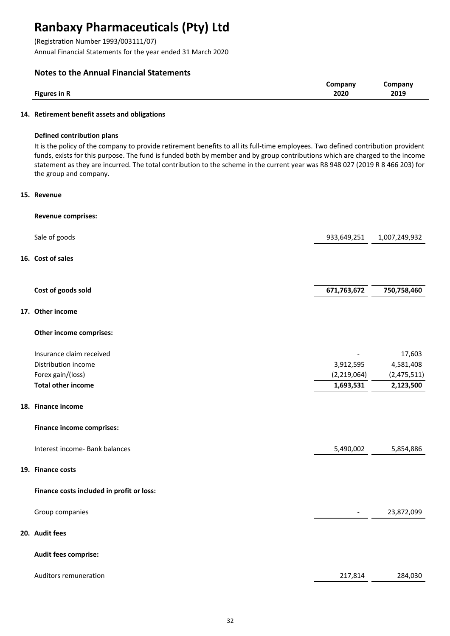(Registration Number 1993/003111/07) Annual Financial Statements for the year ended 31 March 2020

## **Notes to the Annual Financial Statements**

|                     | Company | Company |
|---------------------|---------|---------|
| <b>Figures in R</b> | 2020    | 2019    |

#### **14. Retirement benefit assets and obligations**

#### **Defined contribution plans**

It is the policy of the company to provide retirement benefits to all its full-time employees. Two defined contribution provident funds, exists for this purpose. The fund is funded both by member and by group contributions which are charged to the income statement as they are incurred. The total contribution to the scheme in the current year was R8 948 027 (2019 R 8 466 203) for the group and company.

#### **15. Revenue**

| <b>Revenue comprises:</b>                 |               |               |
|-------------------------------------------|---------------|---------------|
| Sale of goods                             | 933,649,251   | 1,007,249,932 |
| 16. Cost of sales                         |               |               |
| Cost of goods sold                        | 671,763,672   | 750,758,460   |
| 17. Other income                          |               |               |
| Other income comprises:                   |               |               |
| Insurance claim received                  |               | 17,603        |
| Distribution income                       | 3,912,595     | 4,581,408     |
| Forex gain/(loss)                         | (2, 219, 064) | (2,475,511)   |
| <b>Total other income</b>                 | 1,693,531     | 2,123,500     |
| 18. Finance income                        |               |               |
| Finance income comprises:                 |               |               |
| Interest income- Bank balances            | 5,490,002     | 5,854,886     |
| 19. Finance costs                         |               |               |
| Finance costs included in profit or loss: |               |               |
| Group companies                           |               | 23,872,099    |
| 20. Audit fees                            |               |               |
| Audit fees comprise:                      |               |               |
| Auditors remuneration                     | 217,814       | 284,030       |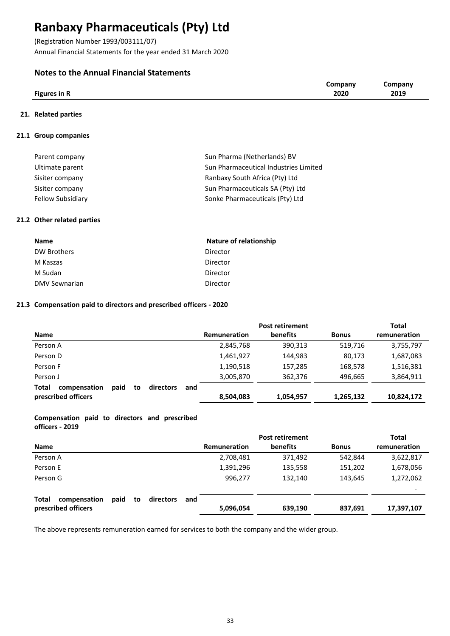(Registration Number 1993/003111/07) Annual Financial Statements for the year ended 31 March 2020

## **Notes to the Annual Financial Statements**

|                    | Company | $\sim$ $\sim$ $\sim$ $\sim$ $\sim$ |
|--------------------|---------|------------------------------------|
| --<br>Fiøures in R | 2020    | 2019                               |
|                    |         |                                    |

### **21. Related parties**

#### **21.1 Group companies**

| Parent company    | Sun Pharma (Netherlands) BV           |
|-------------------|---------------------------------------|
| Ultimate parent   | Sun Pharmaceutical Industries Limited |
| Sisiter company   | Ranbaxy South Africa (Pty) Ltd        |
| Sisiter company   | Sun Pharmaceuticals SA (Pty) Ltd      |
| Fellow Subsidiary | Sonke Pharmaceuticals (Pty) Ltd       |

#### **21.2 Other related parties**

| <b>Name</b>          | <b>Nature of relationship</b> |
|----------------------|-------------------------------|
| <b>DW Brothers</b>   | Director                      |
| M Kaszas             | Director                      |
| M Sudan              | Director                      |
| <b>DMV Sewnarian</b> | <b>Director</b>               |

### **21.3 Compensation paid to directors and prescribed officers - 2020**

|                                                         |              | <b>Post retirement</b> |              | <b>Total</b> |
|---------------------------------------------------------|--------------|------------------------|--------------|--------------|
| <b>Name</b>                                             | Remuneration | benefits               | <b>Bonus</b> | remuneration |
| Person A                                                | 2,845,768    | 390,313                | 519,716      | 3,755,797    |
| Person D                                                | 1,461,927    | 144,983                | 80,173       | 1,687,083    |
| Person F                                                | 1,190,518    | 157,285                | 168,578      | 1,516,381    |
| Person J                                                | 3,005,870    | 362,376                | 496,665      | 3,864,911    |
| paid<br>Total<br>directors<br>compensation<br>and<br>to |              |                        |              |              |
| prescribed officers                                     | 8,504,083    | 1,054,957              | 1,265,132    | 10,824,172   |

#### **Compensation paid to directors and prescribed officers - 2019**

|                                                                                |              | <b>Post retirement</b> |              |                              |  |
|--------------------------------------------------------------------------------|--------------|------------------------|--------------|------------------------------|--|
| <b>Name</b>                                                                    | Remuneration | benefits               | <b>Bonus</b> | remuneration                 |  |
| Person A                                                                       | 2,708,481    | 371,492                | 542,844      | 3,622,817                    |  |
| Person E                                                                       | 1,391,296    | 135,558                | 151,202      | 1,678,056                    |  |
| Person G                                                                       | 996,277      | 132.140                | 143.645      | 1,272,062                    |  |
|                                                                                |              |                        |              | $\qquad \qquad \blacksquare$ |  |
| paid<br>Total<br>compensation<br>directors<br>to<br>and<br>prescribed officers | 5,096,054    | 639,190                | 837,691      | 17,397,107                   |  |

The above represents remuneration earned for services to both the company and the wider group.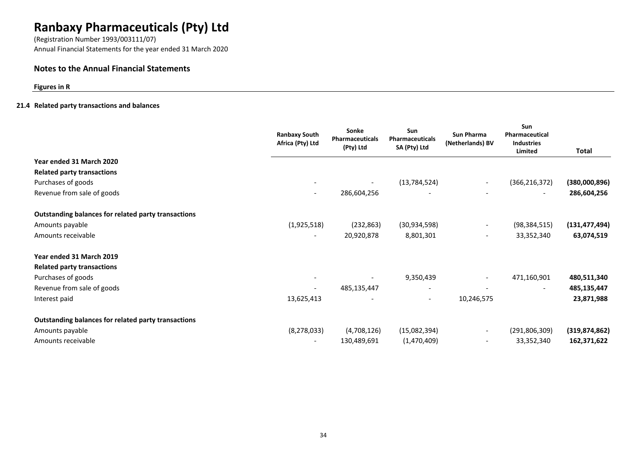(Registration Number 1993/003111/07) Annual Financial Statements for the year ended 31 March 2020

## **Notes to the Annual Financial Statements**

### **Figures in R**

### **21.4 Related party transactions and balances**

|                                                     | <b>Ranbaxy South</b><br>Africa (Pty) Ltd | <b>Sonke</b><br><b>Pharmaceuticals</b><br>(Pty) Ltd | Sun<br><b>Pharmaceuticals</b><br>SA (Pty) Ltd | <b>Sun Pharma</b><br>(Netherlands) BV | Sun<br>Pharmaceutical<br><b>Industries</b><br>Limited | Total           |
|-----------------------------------------------------|------------------------------------------|-----------------------------------------------------|-----------------------------------------------|---------------------------------------|-------------------------------------------------------|-----------------|
| Year ended 31 March 2020                            |                                          |                                                     |                                               |                                       |                                                       |                 |
| <b>Related party transactions</b>                   |                                          |                                                     |                                               |                                       |                                                       |                 |
| Purchases of goods                                  |                                          |                                                     | (13, 784, 524)                                |                                       | (366, 216, 372)                                       | (380,000,896)   |
| Revenue from sale of goods                          | $\overline{\phantom{a}}$                 | 286,604,256                                         |                                               |                                       | $\overline{\phantom{a}}$                              | 286,604,256     |
| Outstanding balances for related party transactions |                                          |                                                     |                                               |                                       |                                                       |                 |
| Amounts payable                                     | (1,925,518)                              | (232, 863)                                          | (30, 934, 598)                                | $\overline{\phantom{a}}$              | (98, 384, 515)                                        | (131, 477, 494) |
| Amounts receivable                                  |                                          | 20,920,878                                          | 8,801,301                                     |                                       | 33,352,340                                            | 63,074,519      |
| Year ended 31 March 2019                            |                                          |                                                     |                                               |                                       |                                                       |                 |
| <b>Related party transactions</b>                   |                                          |                                                     |                                               |                                       |                                                       |                 |
| Purchases of goods                                  |                                          |                                                     | 9,350,439                                     | $\overline{\phantom{a}}$              | 471,160,901                                           | 480,511,340     |
| Revenue from sale of goods                          | $\overline{\phantom{a}}$                 | 485,135,447                                         | $\overline{\phantom{a}}$                      |                                       | $\overline{\phantom{a}}$                              | 485,135,447     |
| Interest paid                                       | 13,625,413                               |                                                     | $\overline{\phantom{a}}$                      | 10,246,575                            |                                                       | 23,871,988      |
| Outstanding balances for related party transactions |                                          |                                                     |                                               |                                       |                                                       |                 |
| Amounts payable                                     | (8, 278, 033)                            | (4,708,126)                                         | (15,082,394)                                  |                                       | (291, 806, 309)                                       | (319, 874, 862) |
| Amounts receivable                                  |                                          | 130,489,691                                         | (1,470,409)                                   |                                       | 33,352,340                                            | 162,371,622     |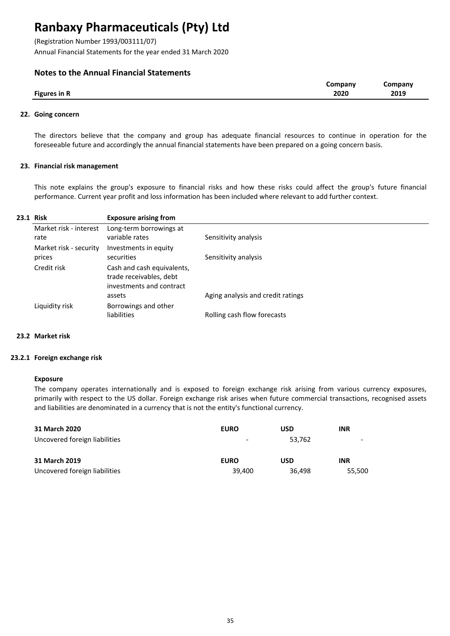(Registration Number 1993/003111/07)

Annual Financial Statements for the year ended 31 March 2020

### **Notes to the Annual Financial Statements**

|                     | Company | Company |
|---------------------|---------|---------|
| <b>Figures in R</b> | 2020    | 2019    |

#### **22. Going concern**

The directors believe that the company and group has adequate financial resources to continue in operation for the foreseeable future and accordingly the annual financial statements have been prepared on a going concern basis.

#### **23. Financial risk management**

This note explains the group's exposure to financial risks and how these risks could affect the group's future financial performance. Current year profit and loss information has been included where relevant to add further context.

| 23.1 Risk |                        | <b>Exposure arising from</b>                                                      |                                   |
|-----------|------------------------|-----------------------------------------------------------------------------------|-----------------------------------|
|           | Market risk - interest | Long-term borrowings at                                                           |                                   |
|           | rate                   | variable rates                                                                    | Sensitivity analysis              |
|           | Market risk - security | Investments in equity                                                             |                                   |
|           | prices                 | securities                                                                        | Sensitivity analysis              |
|           | Credit risk            | Cash and cash equivalents,<br>trade receivables, debt<br>investments and contract |                                   |
|           |                        | assets                                                                            | Aging analysis and credit ratings |
|           | Liquidity risk         | Borrowings and other<br>liabilities                                               | Rolling cash flow forecasts       |

#### **23.2 Market risk**

#### **23.2.1 Foreign exchange risk**

#### **Exposure**

The company operates internationally and is exposed to foreign exchange risk arising from various currency exposures, primarily with respect to the US dollar. Foreign exchange risk arises when future commercial transactions, recognised assets and liabilities are denominated in a currency that is not the entity's functional currency.

| 31 March 2020                 | <b>EURO</b>              | USD        | <b>INR</b> |
|-------------------------------|--------------------------|------------|------------|
| Uncovered foreign liabilities | $\overline{\phantom{a}}$ | 53.762     |            |
| 31 March 2019                 | <b>EURO</b>              | <b>USD</b> | <b>INR</b> |
| Uncovered foreign liabilities | 39.400                   | 36,498     | 55,500     |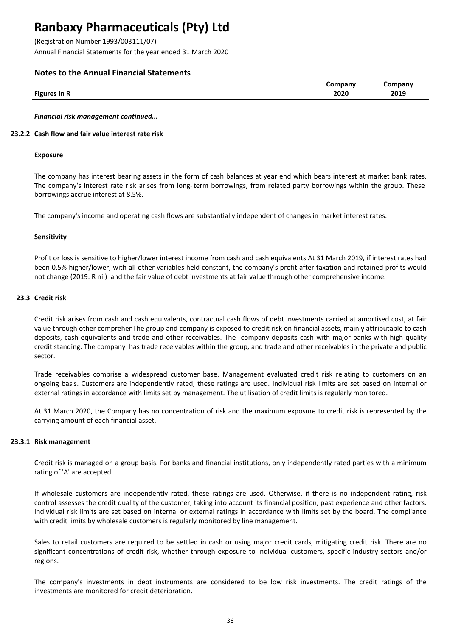(Registration Number 1993/003111/07) Annual Financial Statements for the year ended 31 March 2020

### **Notes to the Annual Financial Statements**

|                     | Company | Company |
|---------------------|---------|---------|
| <b>Figures in R</b> | 2020    | 2019    |

*Financial risk management continued...*

#### **23.2.2 Cash flow and fair value interest rate risk**

#### **Exposure**

The company has interest bearing assets in the form of cash balances at year end which bears interest at market bank rates. The company's interest rate risk arises from long-term borrowings, from related party borrowings within the group. These borrowings accrue interest at 8.5%.

The company's income and operating cash flows are substantially independent of changes in market interest rates.

#### **Sensitivity**

Profit or loss is sensitive to higher/lower interest income from cash and cash equivalents At 31 March 2019, if interest rates had been 0.5% higher/lower, with all other variables held constant, the company's profit after taxation and retained profits would not change (2019: R nil) and the fair value of debt investments at fair value through other comprehensive income.

#### **23.3 Credit risk**

Credit risk arises from cash and cash equivalents, contractual cash flows of debt investments carried at amortised cost, at fair value through other comprehenThe group and company is exposed to credit risk on financial assets, mainly attributable to cash deposits, cash equivalents and trade and other receivables. The company deposits cash with major banks with high quality credit standing. The company has trade receivables within the group, and trade and other receivables in the private and public sector.

Trade receivables comprise a widespread customer base. Management evaluated credit risk relating to customers on an ongoing basis. Customers are independently rated, these ratings are used. Individual risk limits are set based on internal or external ratings in accordance with limits set by management. The utilisation of credit limits is regularly monitored.

At 31 March 2020, the Company has no concentration of risk and the maximum exposure to credit risk is represented by the carrying amount of each financial asset.

#### **23.3.1 Risk management**

Credit risk is managed on a group basis. For banks and financial institutions, only independently rated parties with a minimum rating of 'A' are accepted.

If wholesale customers are independently rated, these ratings are used. Otherwise, if there is no independent rating, risk control assesses the credit quality of the customer, taking into account its financial position, past experience and other factors. Individual risk limits are set based on internal or external ratings in accordance with limits set by the board. The compliance with credit limits by wholesale customers is regularly monitored by line management.

Sales to retail customers are required to be settled in cash or using major credit cards, mitigating credit risk. There are no significant concentrations of credit risk, whether through exposure to individual customers, specific industry sectors and/or regions.

The company's investments in debt instruments are considered to be low risk investments. The credit ratings of the investments are monitored for credit deterioration.